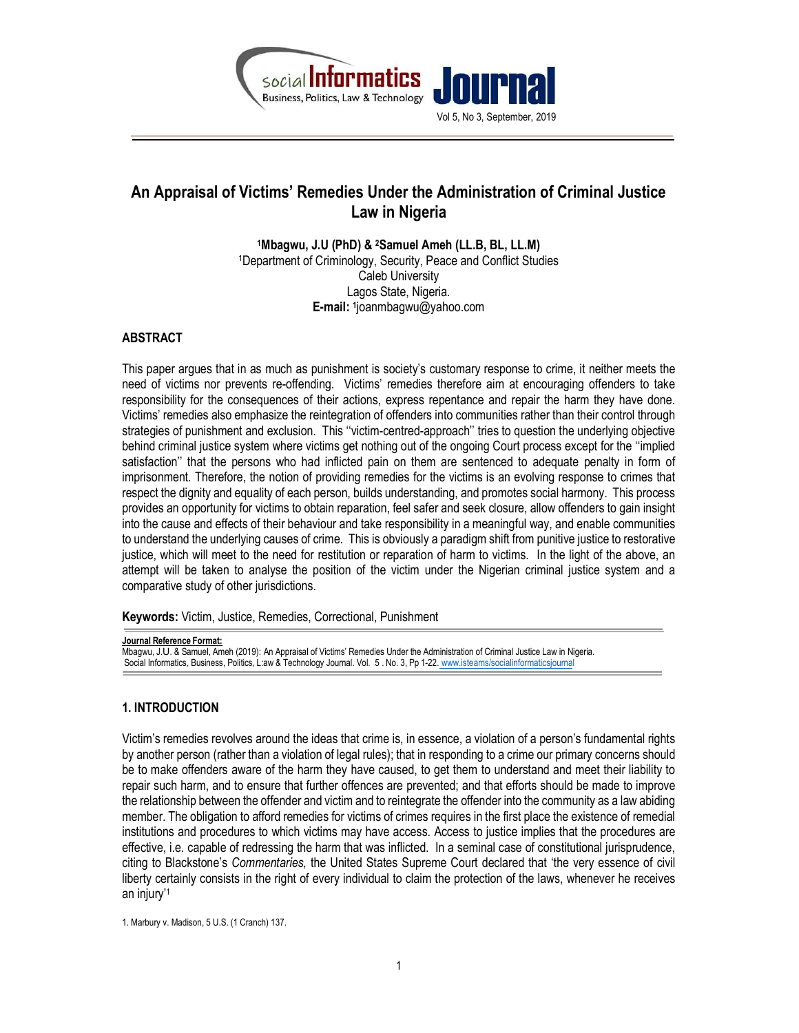

# An Appraisal of Victims' Remedies Under the Administration of Criminal Justice Law in Nigeria

<sup>1</sup>Mbagwu, J.U (PhD) & 2Samuel Ameh (LL.B, BL, LL.M) <sup>1</sup>Department of Criminology, Security, Peace and Conflict Studies Caleb University Lagos State, Nigeria. E-mail: <sup>1</sup> joanmbagwu@yahoo.com

### ABSTRACT

This paper argues that in as much as punishment is society's customary response to crime, it neither meets the need of victims nor prevents re-offending. Victims' remedies therefore aim at encouraging offenders to take responsibility for the consequences of their actions, express repentance and repair the harm they have done. Victims' remedies also emphasize the reintegration of offenders into communities rather than their control through strategies of punishment and exclusion. This ''victim-centred-approach'' tries to question the underlying objective behind criminal justice system where victims get nothing out of the ongoing Court process except for the ''implied satisfaction'' that the persons who had inflicted pain on them are sentenced to adequate penalty in form of imprisonment. Therefore, the notion of providing remedies for the victims is an evolving response to crimes that respect the dignity and equality of each person, builds understanding, and promotes social harmony. This process provides an opportunity for victims to obtain reparation, feel safer and seek closure, allow offenders to gain insight into the cause and effects of their behaviour and take responsibility in a meaningful way, and enable communities to understand the underlying causes of crime. This is obviously a paradigm shift from punitive justice to restorative justice, which will meet to the need for restitution or reparation of harm to victims. In the light of the above, an attempt will be taken to analyse the position of the victim under the Nigerian criminal justice system and a comparative study of other jurisdictions.

Keywords: Victim, Justice, Remedies, Correctional, Punishment

#### Journal Reference Format:

 Social Informatics, Business, Politics, L:aw & Technology Journal. Vol. 5 . No. 3, Pp 1-22. www.isteams/socialinformaticsjournal Mbagwu, J.U. & Samuel, Ameh (2019): An Appraisal of Victims' Remedies Under the Administration of Criminal Justice Law in Nigeria.

## 1. INTRODUCTION

Victim's remedies revolves around the ideas that crime is, in essence, a violation of a person's fundamental rights by another person (rather than a violation of legal rules); that in responding to a crime our primary concerns should be to make offenders aware of the harm they have caused, to get them to understand and meet their liability to repair such harm, and to ensure that further offences are prevented; and that efforts should be made to improve the relationship between the offender and victim and to reintegrate the offender into the community as a law abiding member. The obligation to afford remedies for victims of crimes requires in the first place the existence of remedial institutions and procedures to which victims may have access. Access to justice implies that the procedures are effective, i.e. capable of redressing the harm that was inflicted. In a seminal case of constitutional jurisprudence, citing to Blackstone's Commentaries, the United States Supreme Court declared that 'the very essence of civil liberty certainly consists in the right of every individual to claim the protection of the laws, whenever he receives an injury'<sup>1</sup>

1. Marbury v. Madison, 5 U.S. (1 Cranch) 137.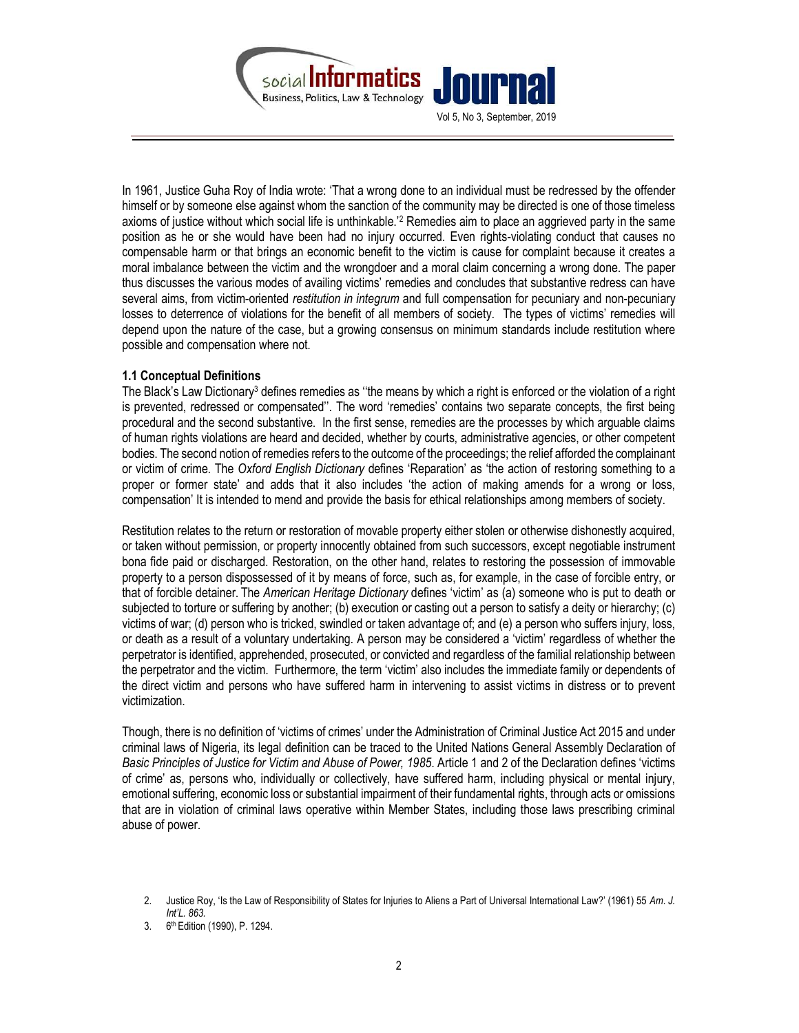

In 1961, Justice Guha Roy of India wrote: 'That a wrong done to an individual must be redressed by the offender himself or by someone else against whom the sanction of the community may be directed is one of those timeless axioms of justice without which social life is unthinkable.<sup>'2</sup> Remedies aim to place an aggrieved party in the same position as he or she would have been had no injury occurred. Even rights-violating conduct that causes no compensable harm or that brings an economic benefit to the victim is cause for complaint because it creates a moral imbalance between the victim and the wrongdoer and a moral claim concerning a wrong done. The paper thus discusses the various modes of availing victims' remedies and concludes that substantive redress can have several aims, from victim-oriented restitution in integrum and full compensation for pecuniary and non-pecuniary losses to deterrence of violations for the benefit of all members of society. The types of victims' remedies will depend upon the nature of the case, but a growing consensus on minimum standards include restitution where possible and compensation where not.

#### 1.1 Conceptual Definitions

The Black's Law Dictionary<sup>3</sup> defines remedies as "the means by which a right is enforced or the violation of a right is prevented, redressed or compensated''. The word 'remedies' contains two separate concepts, the first being procedural and the second substantive. In the first sense, remedies are the processes by which arguable claims of human rights violations are heard and decided, whether by courts, administrative agencies, or other competent bodies. The second notion of remedies refers to the outcome of the proceedings; the relief afforded the complainant or victim of crime. The Oxford English Dictionary defines 'Reparation' as 'the action of restoring something to a proper or former state' and adds that it also includes 'the action of making amends for a wrong or loss, compensation' It is intended to mend and provide the basis for ethical relationships among members of society.

Restitution relates to the return or restoration of movable property either stolen or otherwise dishonestly acquired, or taken without permission, or property innocently obtained from such successors, except negotiable instrument bona fide paid or discharged. Restoration, on the other hand, relates to restoring the possession of immovable property to a person dispossessed of it by means of force, such as, for example, in the case of forcible entry, or that of forcible detainer. The American Heritage Dictionary defines 'victim' as (a) someone who is put to death or subjected to torture or suffering by another; (b) execution or casting out a person to satisfy a deity or hierarchy; (c) victims of war; (d) person who is tricked, swindled or taken advantage of; and (e) a person who suffers injury, loss, or death as a result of a voluntary undertaking. A person may be considered a 'victim' regardless of whether the perpetrator is identified, apprehended, prosecuted, or convicted and regardless of the familial relationship between the perpetrator and the victim. Furthermore, the term 'victim' also includes the immediate family or dependents of the direct victim and persons who have suffered harm in intervening to assist victims in distress or to prevent victimization.

Though, there is no definition of 'victims of crimes' under the Administration of Criminal Justice Act 2015 and under criminal laws of Nigeria, its legal definition can be traced to the United Nations General Assembly Declaration of Basic Principles of Justice for Victim and Abuse of Power, 1985. Article 1 and 2 of the Declaration defines 'victims of crime' as, persons who, individually or collectively, have suffered harm, including physical or mental injury, emotional suffering, economic loss or substantial impairment of their fundamental rights, through acts or omissions that are in violation of criminal laws operative within Member States, including those laws prescribing criminal abuse of power.

<sup>2.</sup> Justice Roy, 'Is the Law of Responsibility of States for Injuries to Aliens a Part of Universal International Law?' (1961) 55 Am. J. Int'L. 863.

<sup>3.</sup> 6 th Edition (1990), P. 1294.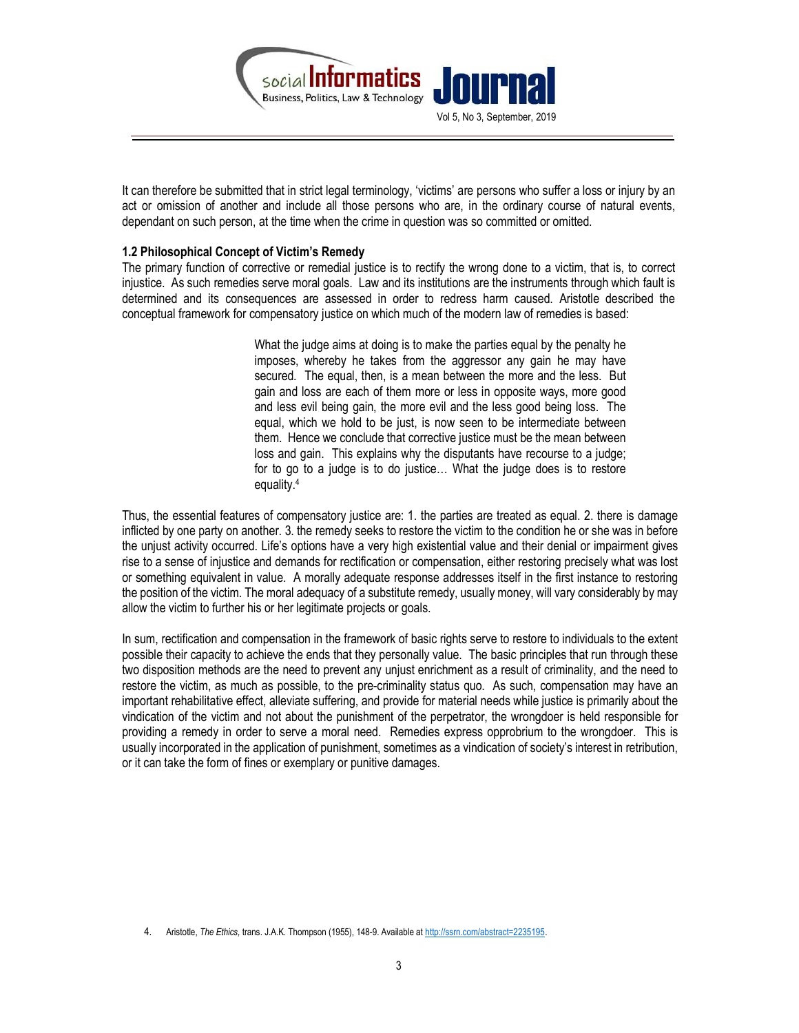

It can therefore be submitted that in strict legal terminology, 'victims' are persons who suffer a loss or injury by an act or omission of another and include all those persons who are, in the ordinary course of natural events, dependant on such person, at the time when the crime in question was so committed or omitted.

#### 1.2 Philosophical Concept of Victim's Remedy

The primary function of corrective or remedial justice is to rectify the wrong done to a victim, that is, to correct injustice. As such remedies serve moral goals. Law and its institutions are the instruments through which fault is determined and its consequences are assessed in order to redress harm caused. Aristotle described the conceptual framework for compensatory justice on which much of the modern law of remedies is based:

> What the judge aims at doing is to make the parties equal by the penalty he imposes, whereby he takes from the aggressor any gain he may have secured. The equal, then, is a mean between the more and the less. But gain and loss are each of them more or less in opposite ways, more good and less evil being gain, the more evil and the less good being loss. The equal, which we hold to be just, is now seen to be intermediate between them. Hence we conclude that corrective justice must be the mean between loss and gain. This explains why the disputants have recourse to a judge; for to go to a judge is to do justice… What the judge does is to restore equality.<sup>4</sup>

Thus, the essential features of compensatory justice are: 1. the parties are treated as equal. 2. there is damage inflicted by one party on another. 3. the remedy seeks to restore the victim to the condition he or she was in before the unjust activity occurred. Life's options have a very high existential value and their denial or impairment gives rise to a sense of injustice and demands for rectification or compensation, either restoring precisely what was lost or something equivalent in value. A morally adequate response addresses itself in the first instance to restoring the position of the victim. The moral adequacy of a substitute remedy, usually money, will vary considerably by may allow the victim to further his or her legitimate projects or goals.

In sum, rectification and compensation in the framework of basic rights serve to restore to individuals to the extent possible their capacity to achieve the ends that they personally value. The basic principles that run through these two disposition methods are the need to prevent any unjust enrichment as a result of criminality, and the need to restore the victim, as much as possible, to the pre-criminality status quo. As such, compensation may have an important rehabilitative effect, alleviate suffering, and provide for material needs while justice is primarily about the vindication of the victim and not about the punishment of the perpetrator, the wrongdoer is held responsible for providing a remedy in order to serve a moral need. Remedies express opprobrium to the wrongdoer. This is usually incorporated in the application of punishment, sometimes as a vindication of society's interest in retribution, or it can take the form of fines or exemplary or punitive damages.

<sup>4.</sup> Aristotle, The Ethics, trans. J.A.K. Thompson (1955), 148-9. Available at http://ssrn.com/abstract=2235195.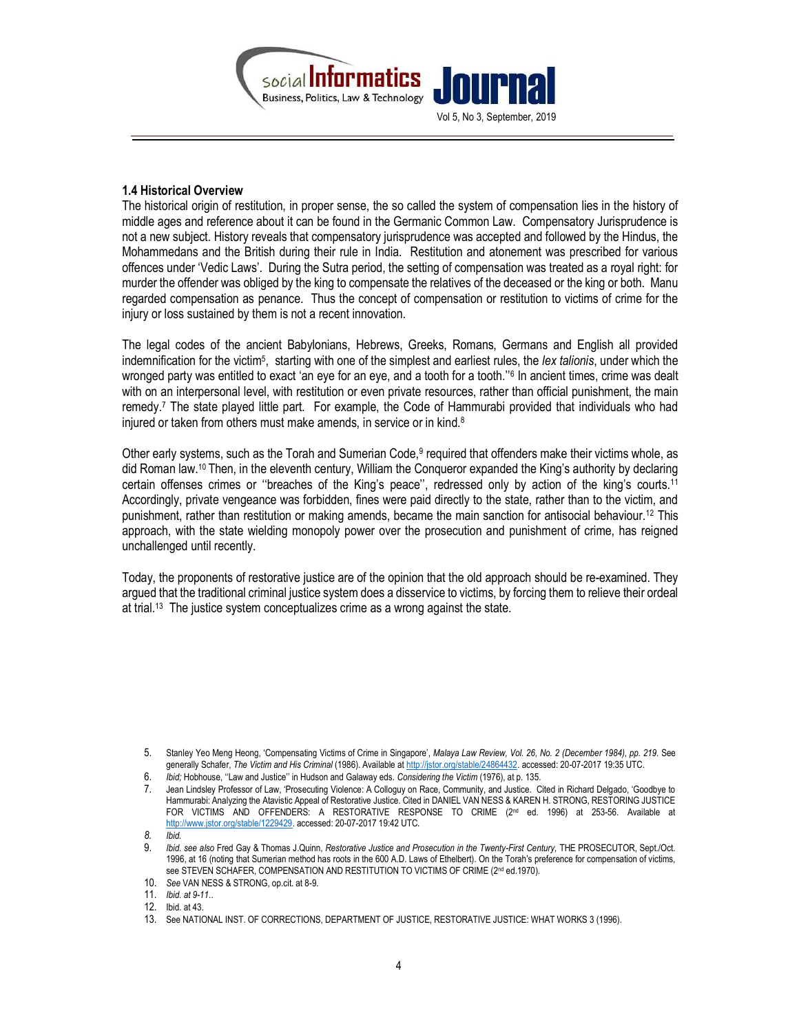

#### 1.4 Historical Overview

The historical origin of restitution, in proper sense, the so called the system of compensation lies in the history of middle ages and reference about it can be found in the Germanic Common Law. Compensatory Jurisprudence is not a new subject. History reveals that compensatory jurisprudence was accepted and followed by the Hindus, the Mohammedans and the British during their rule in India. Restitution and atonement was prescribed for various offences under 'Vedic Laws'. During the Sutra period, the setting of compensation was treated as a royal right: for murder the offender was obliged by the king to compensate the relatives of the deceased or the king or both. Manu regarded compensation as penance. Thus the concept of compensation or restitution to victims of crime for the injury or loss sustained by them is not a recent innovation.

The legal codes of the ancient Babylonians, Hebrews, Greeks, Romans, Germans and English all provided indemnification for the victim<sup>5</sup>, starting with one of the simplest and earliest rules, the lex talionis, under which the wronged party was entitled to exact 'an eye for an eye, and a tooth for a tooth.''<sup>6</sup> In ancient times, crime was dealt with on an interpersonal level, with restitution or even private resources, rather than official punishment, the main remedy.<sup>7</sup> The state played little part. For example, the Code of Hammurabi provided that individuals who had injured or taken from others must make amends, in service or in kind.<sup>8</sup>

Other early systems, such as the Torah and Sumerian Code,<sup>9</sup> required that offenders make their victims whole, as did Roman law.10 Then, in the eleventh century, William the Conqueror expanded the King's authority by declaring certain offenses crimes or ''breaches of the King's peace'', redressed only by action of the king's courts.<sup>11</sup> Accordingly, private vengeance was forbidden, fines were paid directly to the state, rather than to the victim, and punishment, rather than restitution or making amends, became the main sanction for antisocial behaviour.12 This approach, with the state wielding monopoly power over the prosecution and punishment of crime, has reigned unchallenged until recently.

Today, the proponents of restorative justice are of the opinion that the old approach should be re-examined. They argued that the traditional criminal justice system does a disservice to victims, by forcing them to relieve their ordeal at trial.<sup>13</sup> The justice system conceptualizes crime as a wrong against the state.

<sup>5.</sup> Stanley Yeo Meng Heong, 'Compensating Victims of Crime in Singapore', Malaya Law Review, Vol. 26, No. 2 (December 1984), pp. 219. See generally Schafer, The Victim and His Criminal (1986). Available at http://jstor.org/stable/24864432. accessed: 20-07-2017 19:35 UTC.

<sup>6.</sup> *Ibid;* Hobhouse, "Law and Justice" in Hudson and Galaway eds. Considering the Victim (1976), at p. 135.

<sup>7.</sup> Jean Lindsley Professor of Law, 'Prosecuting Violence: A Colloguy on Race, Community, and Justice. Cited in Richard Delgado, 'Goodbye to Hammurabi: Analyzing the Atavistic Appeal of Restorative Justice. Cited in DANIEL VAN NESS & KAREN H. STRONG, RESTORING JUSTICE FOR VICTIMS AND OFFENDERS: A RESTORATIVE RESPONSE TO CRIME (2<sup>nd</sup> ed. 1996) at 253-56. Available at http://www.jstor.org/stable/1229429. accessed: 20-07-2017 19:42 UTC.

<sup>8.</sup> Ibid.

<sup>9.</sup> Ibid. see also Fred Gay & Thomas J.Quinn, Restorative Justice and Prosecution in the Twenty-First Century, THE PROSECUTOR, Sept./Oct. 1996, at 16 (noting that Sumerian method has roots in the 600 A.D. Laws of Ethelbert). On the Torah's preference for compensation of victims, see STEVEN SCHAFER, COMPENSATION AND RESTITUTION TO VICTIMS OF CRIME (2<sup>nd</sup> ed.1970).

<sup>10.</sup> See VAN NESS & STRONG, op.cit. at 8-9.

<sup>11.</sup> Ibid. at 9-11..

<sup>12.</sup> Ibid. at 43.

<sup>13.</sup> See NATIONAL INST. OF CORRECTIONS, DEPARTMENT OF JUSTICE, RESTORATIVE JUSTICE: WHAT WORKS 3 (1996).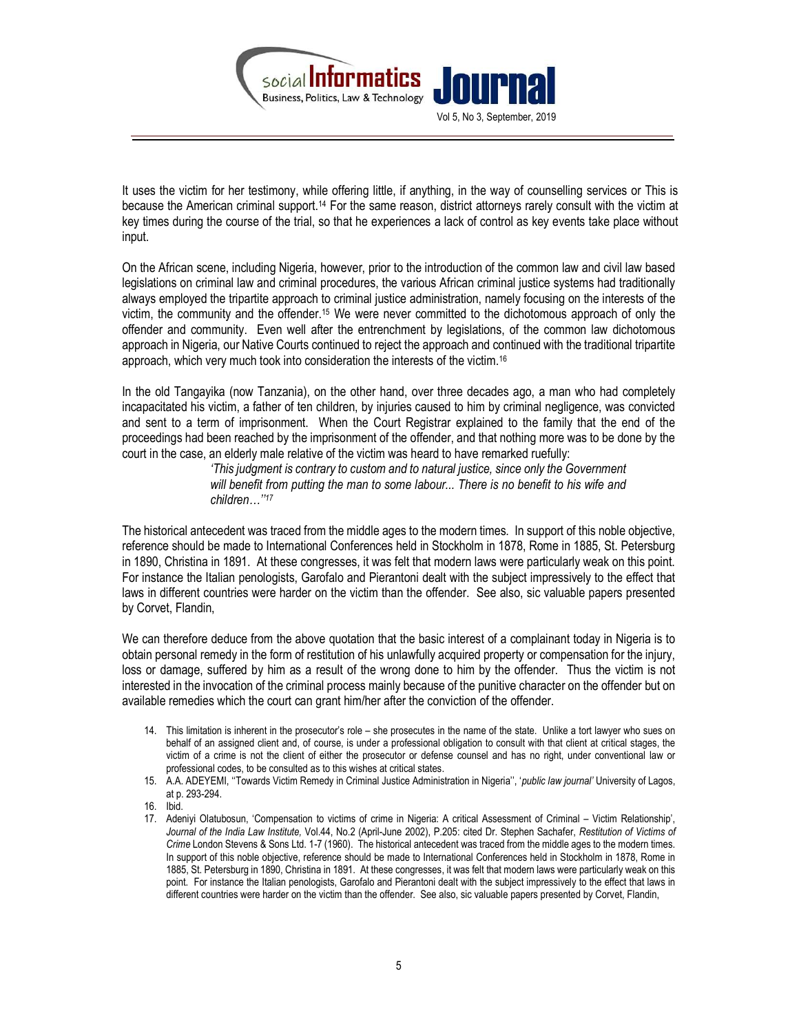

It uses the victim for her testimony, while offering little, if anything, in the way of counselling services or This is because the American criminal support.14 For the same reason, district attorneys rarely consult with the victim at key times during the course of the trial, so that he experiences a lack of control as key events take place without input.

On the African scene, including Nigeria, however, prior to the introduction of the common law and civil law based legislations on criminal law and criminal procedures, the various African criminal justice systems had traditionally always employed the tripartite approach to criminal justice administration, namely focusing on the interests of the victim, the community and the offender.15 We were never committed to the dichotomous approach of only the offender and community. Even well after the entrenchment by legislations, of the common law dichotomous approach in Nigeria, our Native Courts continued to reject the approach and continued with the traditional tripartite approach, which very much took into consideration the interests of the victim.<sup>16</sup>

In the old Tangayika (now Tanzania), on the other hand, over three decades ago, a man who had completely incapacitated his victim, a father of ten children, by injuries caused to him by criminal negligence, was convicted and sent to a term of imprisonment. When the Court Registrar explained to the family that the end of the proceedings had been reached by the imprisonment of the offender, and that nothing more was to be done by the court in the case, an elderly male relative of the victim was heard to have remarked ruefully:

> 'This judgment is contrary to custom and to natural justice, since only the Government will benefit from putting the man to some labour... There is no benefit to his wife and children…''<sup>17</sup>

The historical antecedent was traced from the middle ages to the modern times. In support of this noble objective, reference should be made to International Conferences held in Stockholm in 1878, Rome in 1885, St. Petersburg in 1890, Christina in 1891. At these congresses, it was felt that modern laws were particularly weak on this point. For instance the Italian penologists, Garofalo and Pierantoni dealt with the subject impressively to the effect that laws in different countries were harder on the victim than the offender. See also, sic valuable papers presented by Corvet, Flandin,

We can therefore deduce from the above quotation that the basic interest of a complainant today in Nigeria is to obtain personal remedy in the form of restitution of his unlawfully acquired property or compensation for the injury, loss or damage, suffered by him as a result of the wrong done to him by the offender. Thus the victim is not interested in the invocation of the criminal process mainly because of the punitive character on the offender but on available remedies which the court can grant him/her after the conviction of the offender.

- 14. This limitation is inherent in the prosecutor's role she prosecutes in the name of the state. Unlike a tort lawyer who sues on behalf of an assigned client and, of course, is under a professional obligation to consult with that client at critical stages, the victim of a crime is not the client of either the prosecutor or defense counsel and has no right, under conventional law or professional codes, to be consulted as to this wishes at critical states.
- 15. A.A. ADEYEMI, ''Towards Victim Remedy in Criminal Justice Administration in Nigeria'', 'public law journal' University of Lagos, at p. 293-294.
- 16. Ibid.
- 17. Adeniyi Olatubosun, 'Compensation to victims of crime in Nigeria: A critical Assessment of Criminal Victim Relationship', Journal of the India Law Institute, Vol.44, No.2 (April-June 2002), P.205: cited Dr. Stephen Sachafer, Restitution of Victims of Crime London Stevens & Sons Ltd. 1-7 (1960). The historical antecedent was traced from the middle ages to the modern times. In support of this noble objective, reference should be made to International Conferences held in Stockholm in 1878, Rome in 1885, St. Petersburg in 1890, Christina in 1891. At these congresses, it was felt that modern laws were particularly weak on this point. For instance the Italian penologists, Garofalo and Pierantoni dealt with the subject impressively to the effect that laws in different countries were harder on the victim than the offender. See also, sic valuable papers presented by Corvet, Flandin,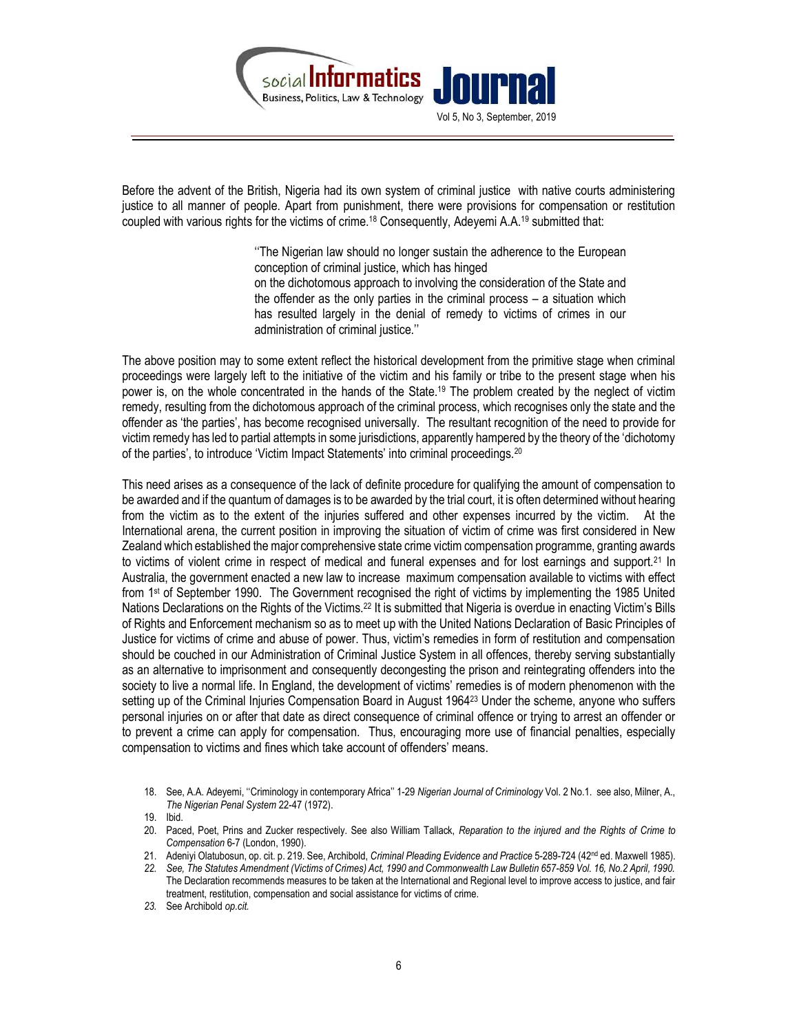

Before the advent of the British, Nigeria had its own system of criminal justice with native courts administering justice to all manner of people. Apart from punishment, there were provisions for compensation or restitution coupled with various rights for the victims of crime.18 Consequently, Adeyemi A.A.19 submitted that:

> ''The Nigerian law should no longer sustain the adherence to the European conception of criminal justice, which has hinged on the dichotomous approach to involving the consideration of the State and the offender as the only parties in the criminal process – a situation which has resulted largely in the denial of remedy to victims of crimes in our administration of criminal justice.''

The above position may to some extent reflect the historical development from the primitive stage when criminal proceedings were largely left to the initiative of the victim and his family or tribe to the present stage when his power is, on the whole concentrated in the hands of the State.19 The problem created by the neglect of victim remedy, resulting from the dichotomous approach of the criminal process, which recognises only the state and the offender as 'the parties', has become recognised universally. The resultant recognition of the need to provide for victim remedy has led to partial attempts in some jurisdictions, apparently hampered by the theory of the 'dichotomy of the parties', to introduce 'Victim Impact Statements' into criminal proceedings.<sup>20</sup>

This need arises as a consequence of the lack of definite procedure for qualifying the amount of compensation to be awarded and if the quantum of damages is to be awarded by the trial court, it is often determined without hearing from the victim as to the extent of the injuries suffered and other expenses incurred by the victim. At the International arena, the current position in improving the situation of victim of crime was first considered in New Zealand which established the major comprehensive state crime victim compensation programme, granting awards to victims of violent crime in respect of medical and funeral expenses and for lost earnings and support.<sup>21</sup> In Australia, the government enacted a new law to increase maximum compensation available to victims with effect from 1st of September 1990. The Government recognised the right of victims by implementing the 1985 United Nations Declarations on the Rights of the Victims.22 It is submitted that Nigeria is overdue in enacting Victim's Bills of Rights and Enforcement mechanism so as to meet up with the United Nations Declaration of Basic Principles of Justice for victims of crime and abuse of power. Thus, victim's remedies in form of restitution and compensation should be couched in our Administration of Criminal Justice System in all offences, thereby serving substantially as an alternative to imprisonment and consequently decongesting the prison and reintegrating offenders into the society to live a normal life. In England, the development of victims' remedies is of modern phenomenon with the setting up of the Criminal Injuries Compensation Board in August 1964<sup>23</sup> Under the scheme, anyone who suffers personal injuries on or after that date as direct consequence of criminal offence or trying to arrest an offender or to prevent a crime can apply for compensation. Thus, encouraging more use of financial penalties, especially compensation to victims and fines which take account of offenders' means.

18. See, A.A. Adeyemi, ''Criminology in contemporary Africa'' 1-29 Nigerian Journal of Criminology Vol. 2 No.1. see also, Milner, A., The Nigerian Penal System 22-47 (1972).

- 21. Adeniyi Olatubosun, op. cit. p. 219. See, Archibold, Criminal Pleading Evidence and Practice 5-289-724 (42<sup>nd</sup> ed. Maxwell 1985).
- 22. See, The Statutes Amendment (Victims of Crimes) Act, 1990 and Commonwealth Law Bulletin 657-859 Vol. 16, No.2 April, 1990. The Declaration recommends measures to be taken at the International and Regional level to improve access to justice, and fair treatment, restitution, compensation and social assistance for victims of crime.
- 23. See Archibold op.cit.

<sup>19.</sup> Ibid.

<sup>20.</sup> Paced, Poet, Prins and Zucker respectively. See also William Tallack, Reparation to the injured and the Rights of Crime to Compensation 6-7 (London, 1990).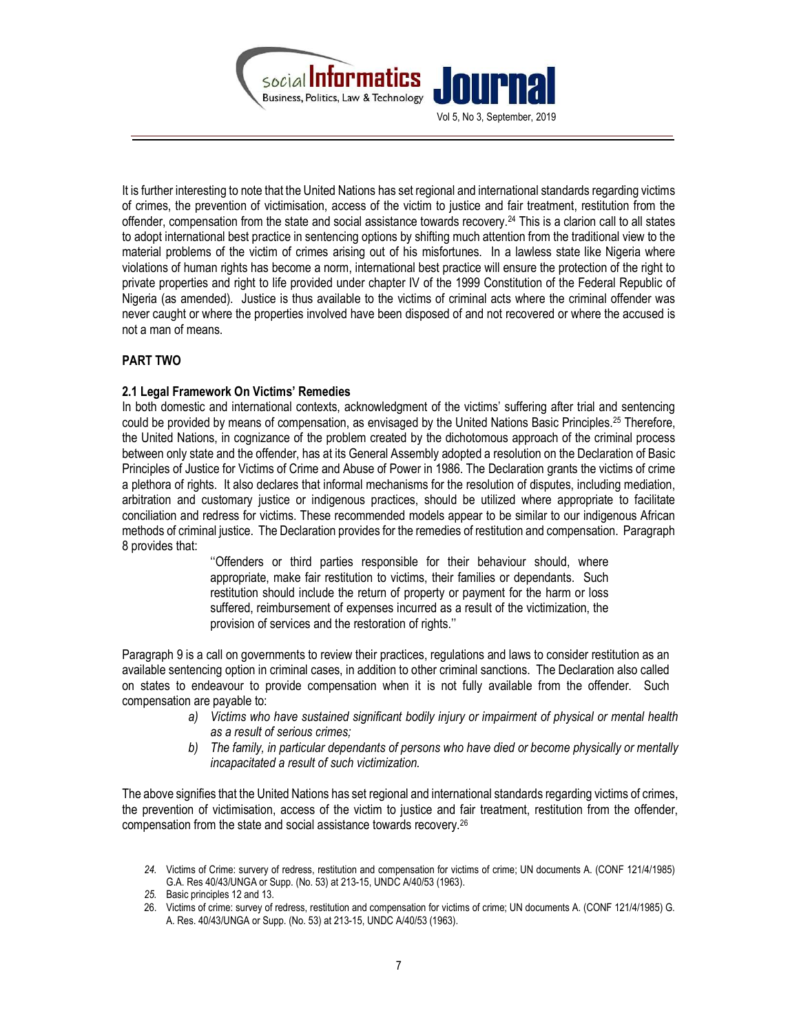

It is further interesting to note that the United Nations has set regional and international standards regarding victims of crimes, the prevention of victimisation, access of the victim to justice and fair treatment, restitution from the offender, compensation from the state and social assistance towards recovery.<sup>24</sup> This is a clarion call to all states to adopt international best practice in sentencing options by shifting much attention from the traditional view to the material problems of the victim of crimes arising out of his misfortunes. In a lawless state like Nigeria where violations of human rights has become a norm, international best practice will ensure the protection of the right to private properties and right to life provided under chapter IV of the 1999 Constitution of the Federal Republic of Nigeria (as amended). Justice is thus available to the victims of criminal acts where the criminal offender was never caught or where the properties involved have been disposed of and not recovered or where the accused is not a man of means.

## PART TWO

### 2.1 Legal Framework On Victims' Remedies

In both domestic and international contexts, acknowledgment of the victims' suffering after trial and sentencing could be provided by means of compensation, as envisaged by the United Nations Basic Principles.25 Therefore, the United Nations, in cognizance of the problem created by the dichotomous approach of the criminal process between only state and the offender, has at its General Assembly adopted a resolution on the Declaration of Basic Principles of Justice for Victims of Crime and Abuse of Power in 1986. The Declaration grants the victims of crime a plethora of rights. It also declares that informal mechanisms for the resolution of disputes, including mediation, arbitration and customary justice or indigenous practices, should be utilized where appropriate to facilitate conciliation and redress for victims. These recommended models appear to be similar to our indigenous African methods of criminal justice. The Declaration provides for the remedies of restitution and compensation. Paragraph 8 provides that:

> ''Offenders or third parties responsible for their behaviour should, where appropriate, make fair restitution to victims, their families or dependants. Such restitution should include the return of property or payment for the harm or loss suffered, reimbursement of expenses incurred as a result of the victimization, the provision of services and the restoration of rights.''

Paragraph 9 is a call on governments to review their practices, regulations and laws to consider restitution as an available sentencing option in criminal cases, in addition to other criminal sanctions. The Declaration also called on states to endeavour to provide compensation when it is not fully available from the offender. Such compensation are payable to:

- a) Victims who have sustained significant bodily injury or impairment of physical or mental health as a result of serious crimes;
- b) The family, in particular dependants of persons who have died or become physically or mentally incapacitated a result of such victimization.

The above signifies that the United Nations has set regional and international standards regarding victims of crimes, the prevention of victimisation, access of the victim to justice and fair treatment, restitution from the offender, compensation from the state and social assistance towards recovery.<sup>26</sup>

- 24. Victims of Crime: survery of redress, restitution and compensation for victims of crime; UN documents A. (CONF 121/4/1985) G.A. Res 40/43/UNGA or Supp. (No. 53) at 213-15, UNDC A/40/53 (1963).
- 25. Basic principles 12 and 13.
- 26. Victims of crime: survey of redress, restitution and compensation for victims of crime; UN documents A. (CONF 121/4/1985) G. A. Res. 40/43/UNGA or Supp. (No. 53) at 213-15, UNDC A/40/53 (1963).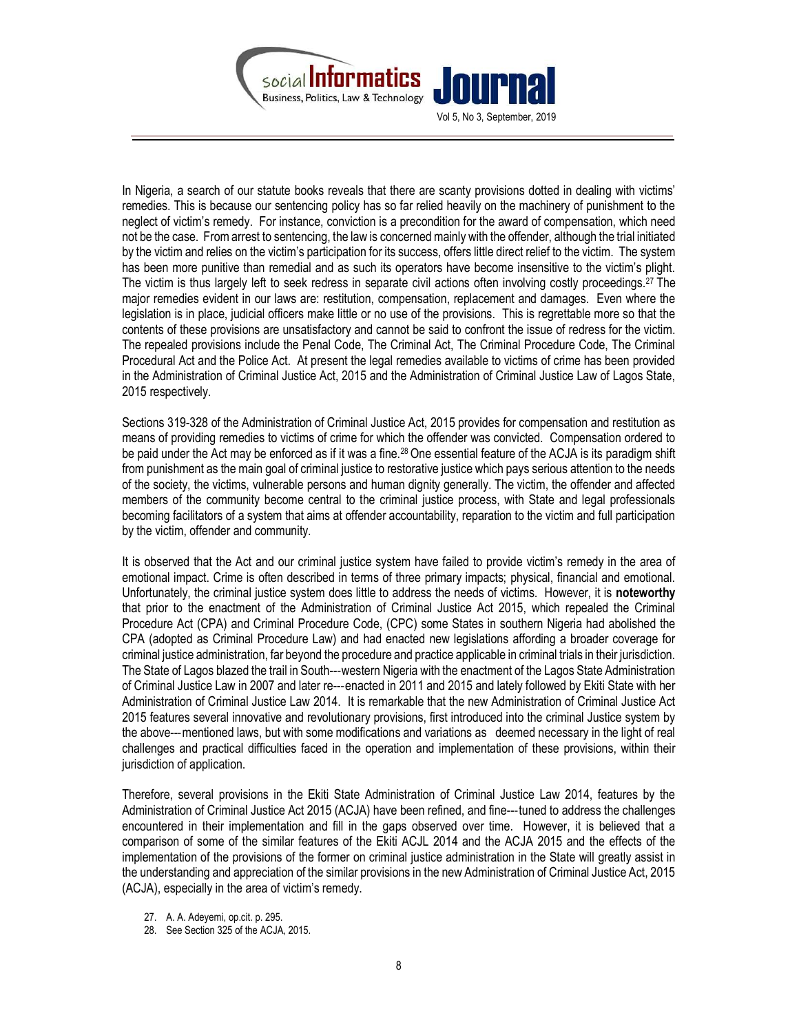

In Nigeria, a search of our statute books reveals that there are scanty provisions dotted in dealing with victims' remedies. This is because our sentencing policy has so far relied heavily on the machinery of punishment to the neglect of victim's remedy. For instance, conviction is a precondition for the award of compensation, which need not be the case. From arrest to sentencing, the law is concerned mainly with the offender, although the trial initiated by the victim and relies on the victim's participation for its success, offers little direct relief to the victim. The system has been more punitive than remedial and as such its operators have become insensitive to the victim's plight. The victim is thus largely left to seek redress in separate civil actions often involving costly proceedings.27 The major remedies evident in our laws are: restitution, compensation, replacement and damages. Even where the legislation is in place, judicial officers make little or no use of the provisions. This is regrettable more so that the contents of these provisions are unsatisfactory and cannot be said to confront the issue of redress for the victim. The repealed provisions include the Penal Code, The Criminal Act, The Criminal Procedure Code, The Criminal Procedural Act and the Police Act. At present the legal remedies available to victims of crime has been provided in the Administration of Criminal Justice Act, 2015 and the Administration of Criminal Justice Law of Lagos State, 2015 respectively.

Sections 319-328 of the Administration of Criminal Justice Act, 2015 provides for compensation and restitution as means of providing remedies to victims of crime for which the offender was convicted. Compensation ordered to be paid under the Act may be enforced as if it was a fine.28 One essential feature of the ACJA is its paradigm shift from punishment as the main goal of criminal justice to restorative justice which pays serious attention to the needs of the society, the victims, vulnerable persons and human dignity generally. The victim, the offender and affected members of the community become central to the criminal justice process, with State and legal professionals becoming facilitators of a system that aims at offender accountability, reparation to the victim and full participation by the victim, offender and community.

It is observed that the Act and our criminal justice system have failed to provide victim's remedy in the area of emotional impact. Crime is often described in terms of three primary impacts; physical, financial and emotional. Unfortunately, the criminal justice system does little to address the needs of victims. However, it is noteworthy that prior to the enactment of the Administration of Criminal Justice Act 2015, which repealed the Criminal Procedure Act (CPA) and Criminal Procedure Code, (CPC) some States in southern Nigeria had abolished the CPA (adopted as Criminal Procedure Law) and had enacted new legislations affording a broader coverage for criminal justice administration, far beyond the procedure and practice applicable in criminal trials in their jurisdiction. The State of Lagos blazed the trail in South--‐western Nigeria with the enactment of the Lagos State Administration of Criminal Justice Law in 2007 and later re--‐enacted in 2011 and 2015 and lately followed by Ekiti State with her Administration of Criminal Justice Law 2014. It is remarkable that the new Administration of Criminal Justice Act 2015 features several innovative and revolutionary provisions, first introduced into the criminal Justice system by the above---mentioned laws, but with some modifications and variations as deemed necessary in the light of real challenges and practical difficulties faced in the operation and implementation of these provisions, within their jurisdiction of application.

Therefore, several provisions in the Ekiti State Administration of Criminal Justice Law 2014, features by the Administration of Criminal Justice Act 2015 (ACJA) have been refined, and fine---tuned to address the challenges encountered in their implementation and fill in the gaps observed over time. However, it is believed that a comparison of some of the similar features of the Ekiti ACJL 2014 and the ACJA 2015 and the effects of the implementation of the provisions of the former on criminal justice administration in the State will greatly assist in the understanding and appreciation of the similar provisions in the new Administration of Criminal Justice Act, 2015 (ACJA), especially in the area of victim's remedy.

- 27. A. A. Adeyemi, op.cit. p. 295.
- 28. See Section 325 of the ACJA, 2015.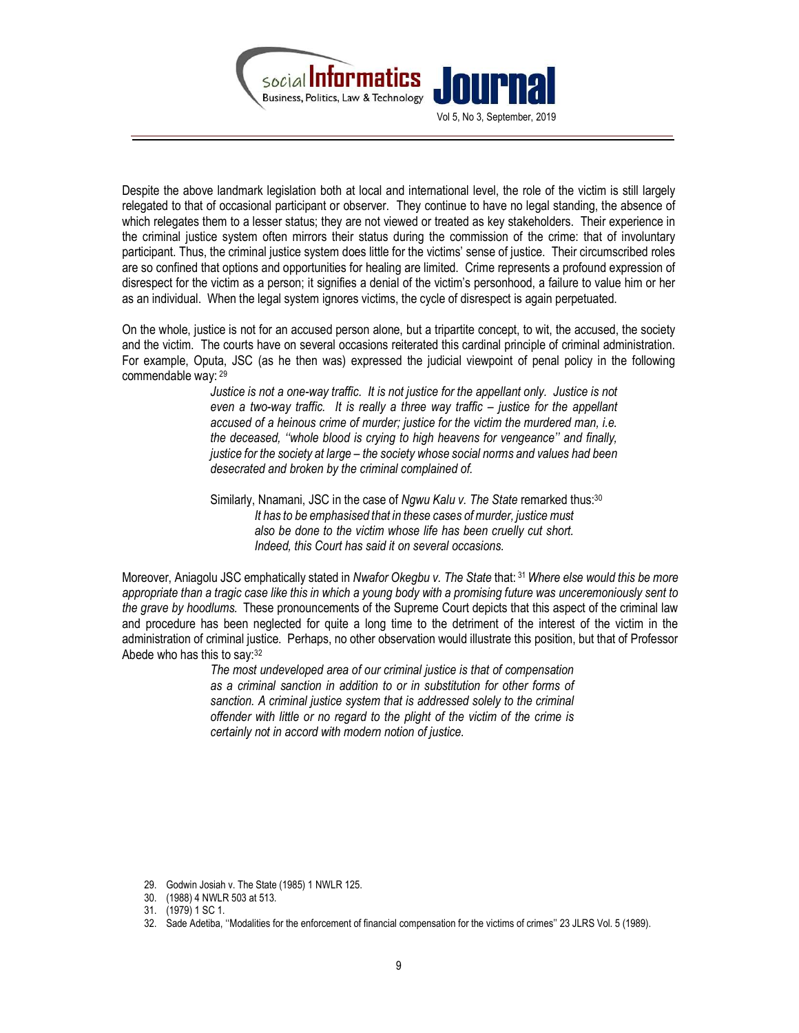

Despite the above landmark legislation both at local and international level, the role of the victim is still largely relegated to that of occasional participant or observer. They continue to have no legal standing, the absence of which relegates them to a lesser status; they are not viewed or treated as key stakeholders. Their experience in the criminal justice system often mirrors their status during the commission of the crime: that of involuntary participant. Thus, the criminal justice system does little for the victims' sense of justice. Their circumscribed roles are so confined that options and opportunities for healing are limited. Crime represents a profound expression of disrespect for the victim as a person; it signifies a denial of the victim's personhood, a failure to value him or her as an individual. When the legal system ignores victims, the cycle of disrespect is again perpetuated.

On the whole, justice is not for an accused person alone, but a tripartite concept, to wit, the accused, the society and the victim. The courts have on several occasions reiterated this cardinal principle of criminal administration. For example, Oputa, JSC (as he then was) expressed the judicial viewpoint of penal policy in the following commendable way:<sup>29</sup>

> Justice is not a one-way traffic. It is not justice for the appellant only. Justice is not even a two-way traffic. It is really a three way traffic – justice for the appellant accused of a heinous crime of murder; justice for the victim the murdered man, i.e. the deceased, ''whole blood is crying to high heavens for vengeance'' and finally, justice for the society at large – the society whose social norms and values had been desecrated and broken by the criminal complained of.

Similarly, Nnamani, JSC in the case of Ngwu Kalu v. The State remarked thus:<sup>30</sup> It has to be emphasised that in these cases of murder, justice must also be done to the victim whose life has been cruelly cut short. Indeed, this Court has said it on several occasions.

Moreover, Aniagolu JSC emphatically stated in Nwafor Okegbu v. The State that: <sup>31</sup> Where else would this be more appropriate than a tragic case like this in which a young body with a promising future was unceremoniously sent to the grave by hoodlums. These pronouncements of the Supreme Court depicts that this aspect of the criminal law and procedure has been neglected for quite a long time to the detriment of the interest of the victim in the administration of criminal justice. Perhaps, no other observation would illustrate this position, but that of Professor Abede who has this to say:<sup>32</sup>

> The most undeveloped area of our criminal justice is that of compensation as a criminal sanction in addition to or in substitution for other forms of sanction. A criminal justice system that is addressed solely to the criminal offender with little or no regard to the plight of the victim of the crime is certainly not in accord with modern notion of justice.

<sup>29.</sup> Godwin Josiah v. The State (1985) 1 NWLR 125.

<sup>30.</sup> (1988) 4 NWLR 503 at 513.

<sup>31.</sup> (1979) 1 SC 1.

<sup>32.</sup> Sade Adetiba, ''Modalities for the enforcement of financial compensation for the victims of crimes'' 23 JLRS Vol. 5 (1989).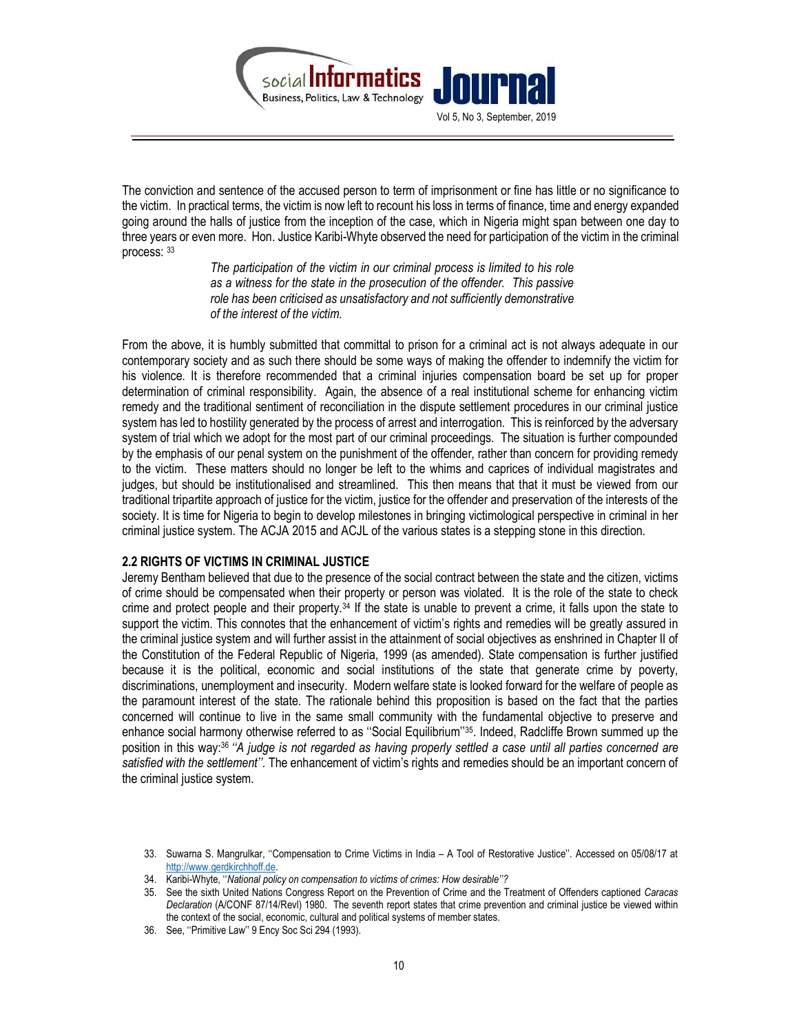

The conviction and sentence of the accused person to term of imprisonment or fine has little or no significance to the victim. In practical terms, the victim is now left to recount his loss in terms of finance, time and energy expanded going around the halls of justice from the inception of the case, which in Nigeria might span between one day to three years or even more. Hon. Justice Karibi-Whyte observed the need for participation of the victim in the criminal process: <sup>33</sup>

> The participation of the victim in our criminal process is limited to his role as a witness for the state in the prosecution of the offender. This passive role has been criticised as unsatisfactory and not sufficiently demonstrative of the interest of the victim.

From the above, it is humbly submitted that committal to prison for a criminal act is not always adequate in our contemporary society and as such there should be some ways of making the offender to indemnify the victim for his violence. It is therefore recommended that a criminal injuries compensation board be set up for proper determination of criminal responsibility. Again, the absence of a real institutional scheme for enhancing victim remedy and the traditional sentiment of reconciliation in the dispute settlement procedures in our criminal justice system has led to hostility generated by the process of arrest and interrogation. This is reinforced by the adversary system of trial which we adopt for the most part of our criminal proceedings. The situation is further compounded by the emphasis of our penal system on the punishment of the offender, rather than concern for providing remedy to the victim. These matters should no longer be left to the whims and caprices of individual magistrates and judges, but should be institutionalised and streamlined. This then means that that it must be viewed from our traditional tripartite approach of justice for the victim, justice for the offender and preservation of the interests of the society. It is time for Nigeria to begin to develop milestones in bringing victimological perspective in criminal in her criminal justice system. The ACJA 2015 and ACJL of the various states is a stepping stone in this direction.

#### 2.2 RIGHTS OF VICTIMS IN CRIMINAL JUSTICE

Jeremy Bentham believed that due to the presence of the social contract between the state and the citizen, victims of crime should be compensated when their property or person was violated. It is the role of the state to check crime and protect people and their property.34 If the state is unable to prevent a crime, it falls upon the state to support the victim. This connotes that the enhancement of victim's rights and remedies will be greatly assured in the criminal justice system and will further assist in the attainment of social objectives as enshrined in Chapter II of the Constitution of the Federal Republic of Nigeria, 1999 (as amended). State compensation is further justified because it is the political, economic and social institutions of the state that generate crime by poverty, discriminations, unemployment and insecurity. Modern welfare state is looked forward for the welfare of people as the paramount interest of the state. The rationale behind this proposition is based on the fact that the parties concerned will continue to live in the same small community with the fundamental objective to preserve and enhance social harmony otherwise referred to as "Social Equilibrium"35. Indeed, Radcliffe Brown summed up the position in this way:36 ''A judge is not regarded as having properly settled a case until all parties concerned are satisfied with the settlement". The enhancement of victim's rights and remedies should be an important concern of the criminal justice system.

34. Karibi-Whyte, ''National policy on compensation to victims of crimes: How desirable''?

35. See the sixth United Nations Congress Report on the Prevention of Crime and the Treatment of Offenders captioned Caracas Declaration (A/CONF 87/14/Revl) 1980. The seventh report states that crime prevention and criminal justice be viewed within the context of the social, economic, cultural and political systems of member states.

36. See, ''Primitive Law'' 9 Ency Soc Sci 294 (1993).

<sup>33.</sup> Suwarna S. Mangrulkar, ''Compensation to Crime Victims in India – A Tool of Restorative Justice''. Accessed on 05/08/17 at http://www.gerdkirchhoff.de.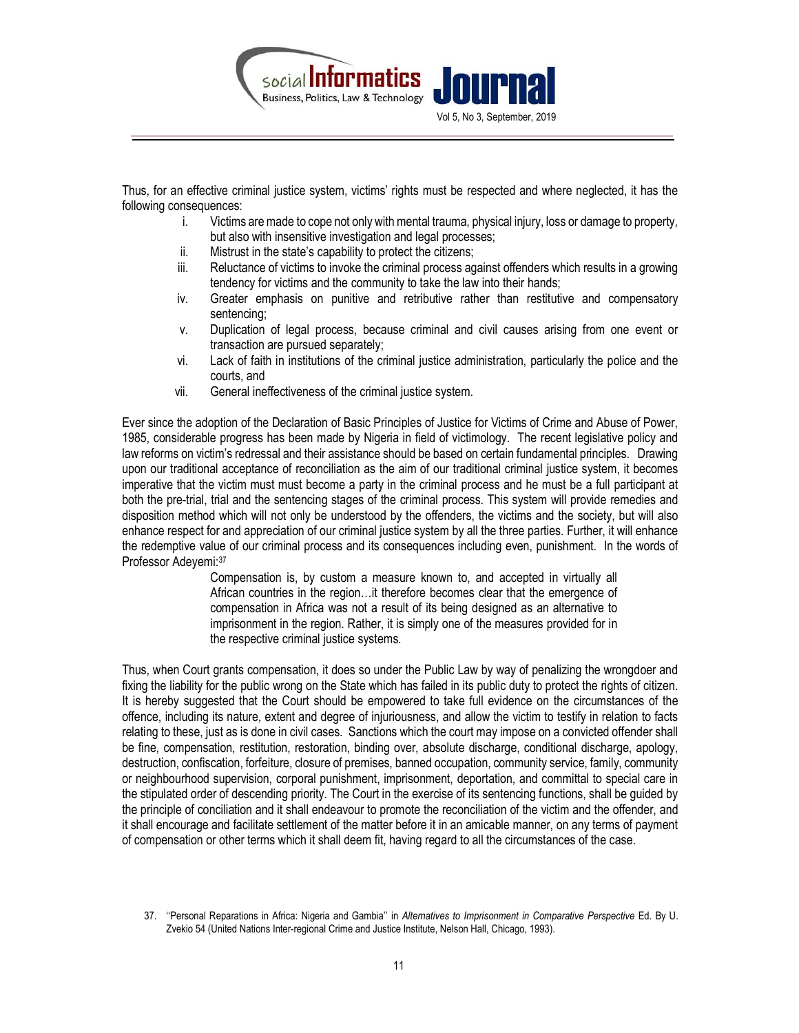

Thus, for an effective criminal justice system, victims' rights must be respected and where neglected, it has the following consequences:

- i. Victims are made to cope not only with mental trauma, physical injury, loss or damage to property, but also with insensitive investigation and legal processes;
- ii. Mistrust in the state's capability to protect the citizens;
- iii. Reluctance of victims to invoke the criminal process against offenders which results in a growing tendency for victims and the community to take the law into their hands;
- iv. Greater emphasis on punitive and retributive rather than restitutive and compensatory sentencing;
- v. Duplication of legal process, because criminal and civil causes arising from one event or transaction are pursued separately;
- vi. Lack of faith in institutions of the criminal justice administration, particularly the police and the courts, and
- vii. General ineffectiveness of the criminal justice system.

Ever since the adoption of the Declaration of Basic Principles of Justice for Victims of Crime and Abuse of Power, 1985, considerable progress has been made by Nigeria in field of victimology. The recent legislative policy and law reforms on victim's redressal and their assistance should be based on certain fundamental principles. Drawing upon our traditional acceptance of reconciliation as the aim of our traditional criminal justice system, it becomes imperative that the victim must must become a party in the criminal process and he must be a full participant at both the pre-trial, trial and the sentencing stages of the criminal process. This system will provide remedies and disposition method which will not only be understood by the offenders, the victims and the society, but will also enhance respect for and appreciation of our criminal justice system by all the three parties. Further, it will enhance the redemptive value of our criminal process and its consequences including even, punishment. In the words of Professor Adeyemi:<sup>37</sup>

> Compensation is, by custom a measure known to, and accepted in virtually all African countries in the region…it therefore becomes clear that the emergence of compensation in Africa was not a result of its being designed as an alternative to imprisonment in the region. Rather, it is simply one of the measures provided for in the respective criminal justice systems.

Thus, when Court grants compensation, it does so under the Public Law by way of penalizing the wrongdoer and fixing the liability for the public wrong on the State which has failed in its public duty to protect the rights of citizen. It is hereby suggested that the Court should be empowered to take full evidence on the circumstances of the offence, including its nature, extent and degree of injuriousness, and allow the victim to testify in relation to facts relating to these, just as is done in civil cases. Sanctions which the court may impose on a convicted offender shall be fine, compensation, restitution, restoration, binding over, absolute discharge, conditional discharge, apology, destruction, confiscation, forfeiture, closure of premises, banned occupation, community service, family, community or neighbourhood supervision, corporal punishment, imprisonment, deportation, and committal to special care in the stipulated order of descending priority. The Court in the exercise of its sentencing functions, shall be guided by the principle of conciliation and it shall endeavour to promote the reconciliation of the victim and the offender, and it shall encourage and facilitate settlement of the matter before it in an amicable manner, on any terms of payment of compensation or other terms which it shall deem fit, having regard to all the circumstances of the case.

<sup>37.</sup> ''Personal Reparations in Africa: Nigeria and Gambia'' in Alternatives to Imprisonment in Comparative Perspective Ed. By U. Zvekio 54 (United Nations Inter-regional Crime and Justice Institute, Nelson Hall, Chicago, 1993).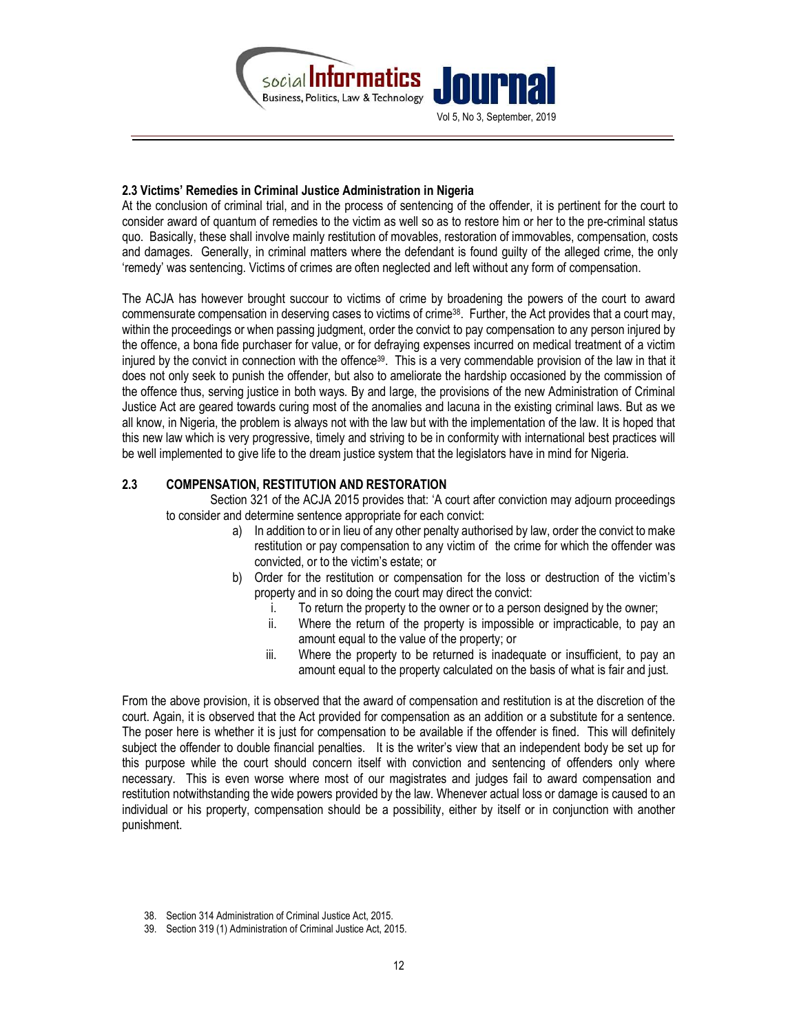

#### 2.3 Victims' Remedies in Criminal Justice Administration in Nigeria

At the conclusion of criminal trial, and in the process of sentencing of the offender, it is pertinent for the court to consider award of quantum of remedies to the victim as well so as to restore him or her to the pre-criminal status quo. Basically, these shall involve mainly restitution of movables, restoration of immovables, compensation, costs and damages. Generally, in criminal matters where the defendant is found guilty of the alleged crime, the only 'remedy' was sentencing. Victims of crimes are often neglected and left without any form of compensation.

The ACJA has however brought succour to victims of crime by broadening the powers of the court to award commensurate compensation in deserving cases to victims of crime<sup>38</sup>. Further, the Act provides that a court may, within the proceedings or when passing judgment, order the convict to pay compensation to any person injured by the offence, a bona fide purchaser for value, or for defraying expenses incurred on medical treatment of a victim injured by the convict in connection with the offence<sup>39</sup>. This is a very commendable provision of the law in that it does not only seek to punish the offender, but also to ameliorate the hardship occasioned by the commission of the offence thus, serving justice in both ways. By and large, the provisions of the new Administration of Criminal Justice Act are geared towards curing most of the anomalies and lacuna in the existing criminal laws. But as we all know, in Nigeria, the problem is always not with the law but with the implementation of the law. It is hoped that this new law which is very progressive, timely and striving to be in conformity with international best practices will be well implemented to give life to the dream justice system that the legislators have in mind for Nigeria.

## 2.3 COMPENSATION, RESTITUTION AND RESTORATION

Section 321 of the ACJA 2015 provides that: 'A court after conviction may adjourn proceedings to consider and determine sentence appropriate for each convict:

- a) In addition to or in lieu of any other penalty authorised by law, order the convict to make restitution or pay compensation to any victim of the crime for which the offender was convicted, or to the victim's estate; or
- b) Order for the restitution or compensation for the loss or destruction of the victim's property and in so doing the court may direct the convict:
	- i. To return the property to the owner or to a person designed by the owner;
	- ii. Where the return of the property is impossible or impracticable, to pay an amount equal to the value of the property; or
	- iii. Where the property to be returned is inadequate or insufficient, to pay an amount equal to the property calculated on the basis of what is fair and just.

From the above provision, it is observed that the award of compensation and restitution is at the discretion of the court. Again, it is observed that the Act provided for compensation as an addition or a substitute for a sentence. The poser here is whether it is just for compensation to be available if the offender is fined. This will definitely subject the offender to double financial penalties. It is the writer's view that an independent body be set up for this purpose while the court should concern itself with conviction and sentencing of offenders only where necessary. This is even worse where most of our magistrates and judges fail to award compensation and restitution notwithstanding the wide powers provided by the law. Whenever actual loss or damage is caused to an individual or his property, compensation should be a possibility, either by itself or in conjunction with another punishment.

<sup>38.</sup> Section 314 Administration of Criminal Justice Act, 2015.

<sup>39.</sup> Section 319 (1) Administration of Criminal Justice Act, 2015.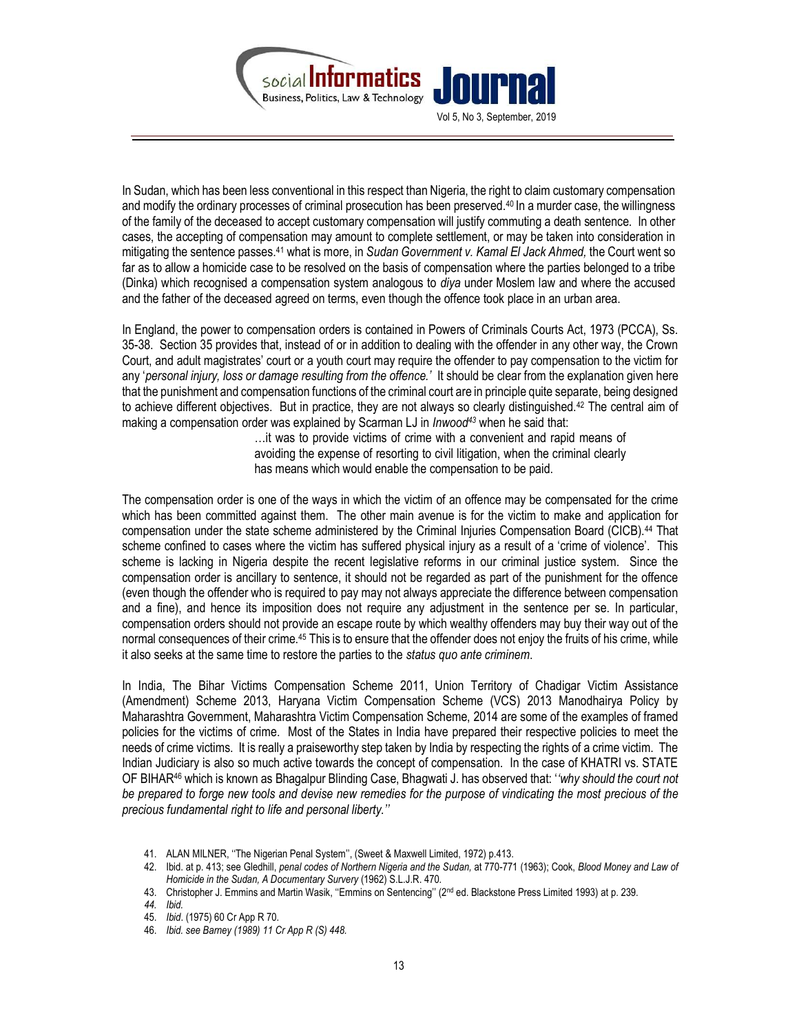

In Sudan, which has been less conventional in this respect than Nigeria, the right to claim customary compensation and modify the ordinary processes of criminal prosecution has been preserved.40 In a murder case, the willingness of the family of the deceased to accept customary compensation will justify commuting a death sentence. In other cases, the accepting of compensation may amount to complete settlement, or may be taken into consideration in mitigating the sentence passes.<sup>41</sup> what is more, in Sudan Government v. Kamal El Jack Ahmed, the Court went so far as to allow a homicide case to be resolved on the basis of compensation where the parties belonged to a tribe (Dinka) which recognised a compensation system analogous to diya under Moslem law and where the accused and the father of the deceased agreed on terms, even though the offence took place in an urban area.

In England, the power to compensation orders is contained in Powers of Criminals Courts Act, 1973 (PCCA), Ss. 35-38. Section 35 provides that, instead of or in addition to dealing with the offender in any other way, the Crown Court, and adult magistrates' court or a youth court may require the offender to pay compensation to the victim for any 'personal injury, loss or damage resulting from the offence.' It should be clear from the explanation given here that the punishment and compensation functions of the criminal court are in principle quite separate, being designed to achieve different objectives. But in practice, they are not always so clearly distinguished.<sup>42</sup> The central aim of making a compensation order was explained by Scarman LJ in Inwood<sup>43</sup> when he said that:

…it was to provide victims of crime with a convenient and rapid means of avoiding the expense of resorting to civil litigation, when the criminal clearly has means which would enable the compensation to be paid.

The compensation order is one of the ways in which the victim of an offence may be compensated for the crime which has been committed against them. The other main avenue is for the victim to make and application for compensation under the state scheme administered by the Criminal Injuries Compensation Board (CICB).<sup>44</sup> That scheme confined to cases where the victim has suffered physical injury as a result of a 'crime of violence'. This scheme is lacking in Nigeria despite the recent legislative reforms in our criminal justice system. Since the compensation order is ancillary to sentence, it should not be regarded as part of the punishment for the offence (even though the offender who is required to pay may not always appreciate the difference between compensation and a fine), and hence its imposition does not require any adjustment in the sentence per se. In particular, compensation orders should not provide an escape route by which wealthy offenders may buy their way out of the normal consequences of their crime.<sup>45</sup> This is to ensure that the offender does not enjoy the fruits of his crime, while it also seeks at the same time to restore the parties to the status quo ante criminem.

In India, The Bihar Victims Compensation Scheme 2011, Union Territory of Chadigar Victim Assistance (Amendment) Scheme 2013, Haryana Victim Compensation Scheme (VCS) 2013 Manodhairya Policy by Maharashtra Government, Maharashtra Victim Compensation Scheme, 2014 are some of the examples of framed policies for the victims of crime. Most of the States in India have prepared their respective policies to meet the needs of crime victims. It is really a praiseworthy step taken by India by respecting the rights of a crime victim. The Indian Judiciary is also so much active towards the concept of compensation. In the case of KHATRI vs. STATE OF BIHAR46 which is known as Bhagalpur Blinding Case, Bhagwati J. has observed that: ''why should the court not be prepared to forge new tools and devise new remedies for the purpose of vindicating the most precious of the precious fundamental right to life and personal liberty.''

- 41. ALAN MILNER, "The Nigerian Penal System", (Sweet & Maxwell Limited, 1972) p.413.
- 42. Ibid. at p. 413; see Gledhill, penal codes of Northern Nigeria and the Sudan, at 770-771 (1963); Cook, Blood Money and Law of Homicide in the Sudan, A Documentary Survery (1962) S.L.J.R. 470.
- 43. Christopher J. Emmins and Martin Wasik, ''Emmins on Sentencing'' (2nd ed. Blackstone Press Limited 1993) at p. 239.

- 45. Ibid. (1975) 60 Cr App R 70.
- 46. Ibid. see Barney (1989) 11 Cr App R (S) 448.

<sup>44.</sup> Ibid.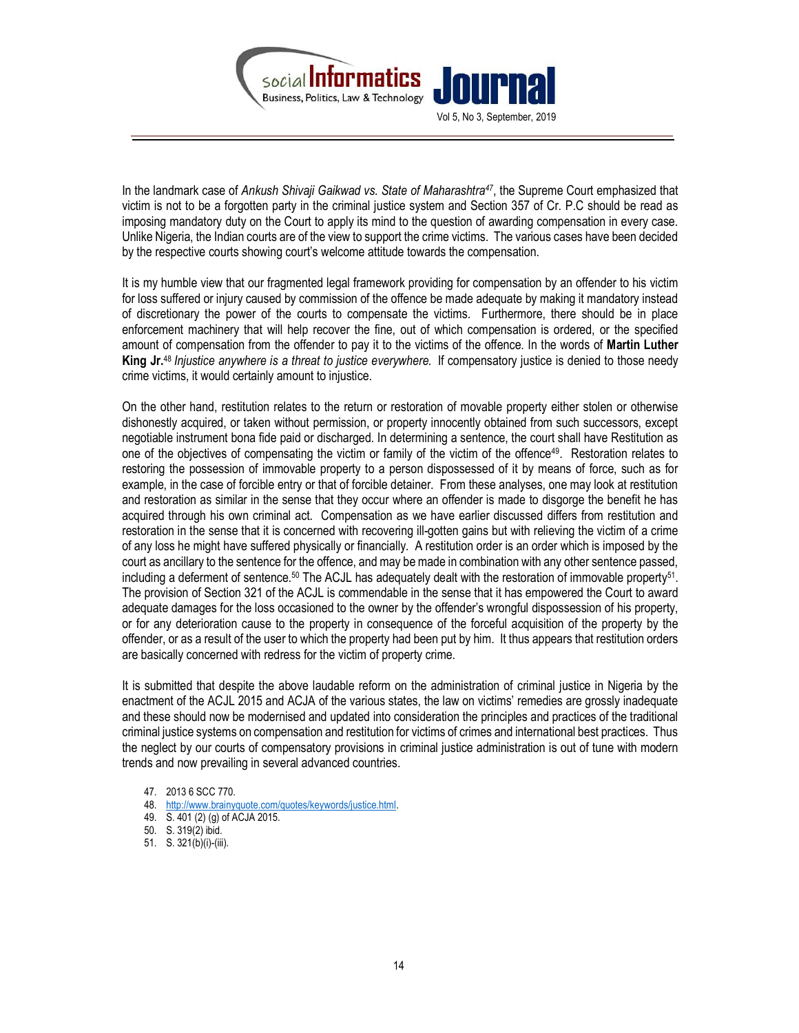

In the landmark case of Ankush Shivaji Gaikwad vs. State of Maharashtra<sup>47</sup>, the Supreme Court emphasized that victim is not to be a forgotten party in the criminal justice system and Section 357 of Cr. P.C should be read as imposing mandatory duty on the Court to apply its mind to the question of awarding compensation in every case. Unlike Nigeria, the Indian courts are of the view to support the crime victims. The various cases have been decided by the respective courts showing court's welcome attitude towards the compensation.

It is my humble view that our fragmented legal framework providing for compensation by an offender to his victim for loss suffered or injury caused by commission of the offence be made adequate by making it mandatory instead of discretionary the power of the courts to compensate the victims. Furthermore, there should be in place enforcement machinery that will help recover the fine, out of which compensation is ordered, or the specified amount of compensation from the offender to pay it to the victims of the offence. In the words of Martin Luther King Jr.<sup>48</sup> Injustice anywhere is a threat to justice everywhere. If compensatory justice is denied to those needy crime victims, it would certainly amount to injustice.

On the other hand, restitution relates to the return or restoration of movable property either stolen or otherwise dishonestly acquired, or taken without permission, or property innocently obtained from such successors, except negotiable instrument bona fide paid or discharged. In determining a sentence, the court shall have Restitution as one of the objectives of compensating the victim or family of the victim of the offence<sup>49</sup>. Restoration relates to restoring the possession of immovable property to a person dispossessed of it by means of force, such as for example, in the case of forcible entry or that of forcible detainer. From these analyses, one may look at restitution and restoration as similar in the sense that they occur where an offender is made to disgorge the benefit he has acquired through his own criminal act. Compensation as we have earlier discussed differs from restitution and restoration in the sense that it is concerned with recovering ill-gotten gains but with relieving the victim of a crime of any loss he might have suffered physically or financially. A restitution order is an order which is imposed by the court as ancillary to the sentence for the offence, and may be made in combination with any other sentence passed, including a deferment of sentence.<sup>50</sup> The ACJL has adequately dealt with the restoration of immovable property<sup>51</sup>. The provision of Section 321 of the ACJL is commendable in the sense that it has empowered the Court to award adequate damages for the loss occasioned to the owner by the offender's wrongful dispossession of his property, or for any deterioration cause to the property in consequence of the forceful acquisition of the property by the offender, or as a result of the user to which the property had been put by him. It thus appears that restitution orders are basically concerned with redress for the victim of property crime.

It is submitted that despite the above laudable reform on the administration of criminal justice in Nigeria by the enactment of the ACJL 2015 and ACJA of the various states, the law on victims' remedies are grossly inadequate and these should now be modernised and updated into consideration the principles and practices of the traditional criminal justice systems on compensation and restitution for victims of crimes and international best practices. Thus the neglect by our courts of compensatory provisions in criminal justice administration is out of tune with modern trends and now prevailing in several advanced countries.

- 47. 2013 6 SCC 770.
- 48. http://www.brainyquote.com/quotes/keywords/justice.html.
- 49. S. 401 (2) (g) of ACJA 2015.
- 50. S. 319(2) ibid.
- 51. S. 321(b)(i)-(iii).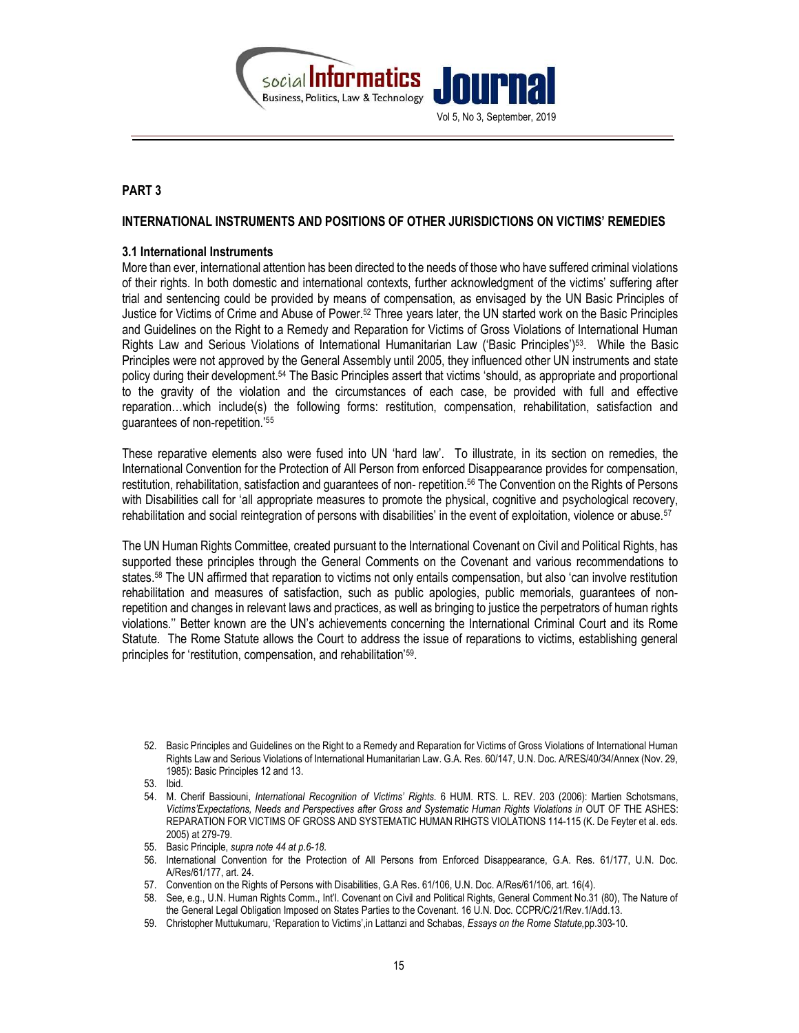

## PART 3

#### INTERNATIONAL INSTRUMENTS AND POSITIONS OF OTHER JURISDICTIONS ON VICTIMS' REMEDIES

#### 3.1 International Instruments

More than ever, international attention has been directed to the needs of those who have suffered criminal violations of their rights. In both domestic and international contexts, further acknowledgment of the victims' suffering after trial and sentencing could be provided by means of compensation, as envisaged by the UN Basic Principles of Justice for Victims of Crime and Abuse of Power.<sup>52</sup> Three years later, the UN started work on the Basic Principles and Guidelines on the Right to a Remedy and Reparation for Victims of Gross Violations of International Human Rights Law and Serious Violations of International Humanitarian Law ('Basic Principles')<sup>53</sup>. While the Basic Principles were not approved by the General Assembly until 2005, they influenced other UN instruments and state policy during their development.54 The Basic Principles assert that victims 'should, as appropriate and proportional to the gravity of the violation and the circumstances of each case, be provided with full and effective reparation…which include(s) the following forms: restitution, compensation, rehabilitation, satisfaction and guarantees of non-repetition.'<sup>55</sup>

These reparative elements also were fused into UN 'hard law'. To illustrate, in its section on remedies, the International Convention for the Protection of All Person from enforced Disappearance provides for compensation, restitution, rehabilitation, satisfaction and guarantees of non- repetition.<sup>56</sup> The Convention on the Rights of Persons with Disabilities call for 'all appropriate measures to promote the physical, cognitive and psychological recovery, rehabilitation and social reintegration of persons with disabilities' in the event of exploitation, violence or abuse.<sup>57</sup>

The UN Human Rights Committee, created pursuant to the International Covenant on Civil and Political Rights, has supported these principles through the General Comments on the Covenant and various recommendations to states.<sup>58</sup> The UN affirmed that reparation to victims not only entails compensation, but also 'can involve restitution rehabilitation and measures of satisfaction, such as public apologies, public memorials, guarantees of nonrepetition and changes in relevant laws and practices, as well as bringing to justice the perpetrators of human rights violations.'' Better known are the UN's achievements concerning the International Criminal Court and its Rome Statute. The Rome Statute allows the Court to address the issue of reparations to victims, establishing general principles for 'restitution, compensation, and rehabilitation'<sup>59</sup> .

- 57. Convention on the Rights of Persons with Disabilities, G.A Res. 61/106, U.N. Doc. A/Res/61/106, art. 16(4).
- 58. See, e.g., U.N. Human Rights Comm., Int'l. Covenant on Civil and Political Rights, General Comment No.31 (80), The Nature of the General Legal Obligation Imposed on States Parties to the Covenant. 16 U.N. Doc. CCPR/C/21/Rev.1/Add.13.
- 59. Christopher Muttukumaru, 'Reparation to Victims',in Lattanzi and Schabas, Essays on the Rome Statute,pp.303-10.

<sup>52.</sup> Basic Principles and Guidelines on the Right to a Remedy and Reparation for Victims of Gross Violations of International Human Rights Law and Serious Violations of International Humanitarian Law. G.A. Res. 60/147, U.N. Doc. A/RES/40/34/Annex (Nov. 29, 1985): Basic Principles 12 and 13.

<sup>53.</sup> Ibid.

<sup>54.</sup> M. Cherif Bassiouni, International Recognition of Victims' Rights. 6 HUM. RTS. L. REV. 203 (2006): Martien Schotsmans, Victims'Expectations, Needs and Perspectives after Gross and Systematic Human Rights Violations in OUT OF THE ASHES: REPARATION FOR VICTIMS OF GROSS AND SYSTEMATIC HUMAN RIHGTS VIOLATIONS 114-115 (K. De Feyter et al. eds. 2005) at 279-79.

<sup>55.</sup> Basic Principle, supra note 44 at p.6-18.

<sup>56.</sup> International Convention for the Protection of All Persons from Enforced Disappearance, G.A. Res. 61/177, U.N. Doc. A/Res/61/177, art. 24.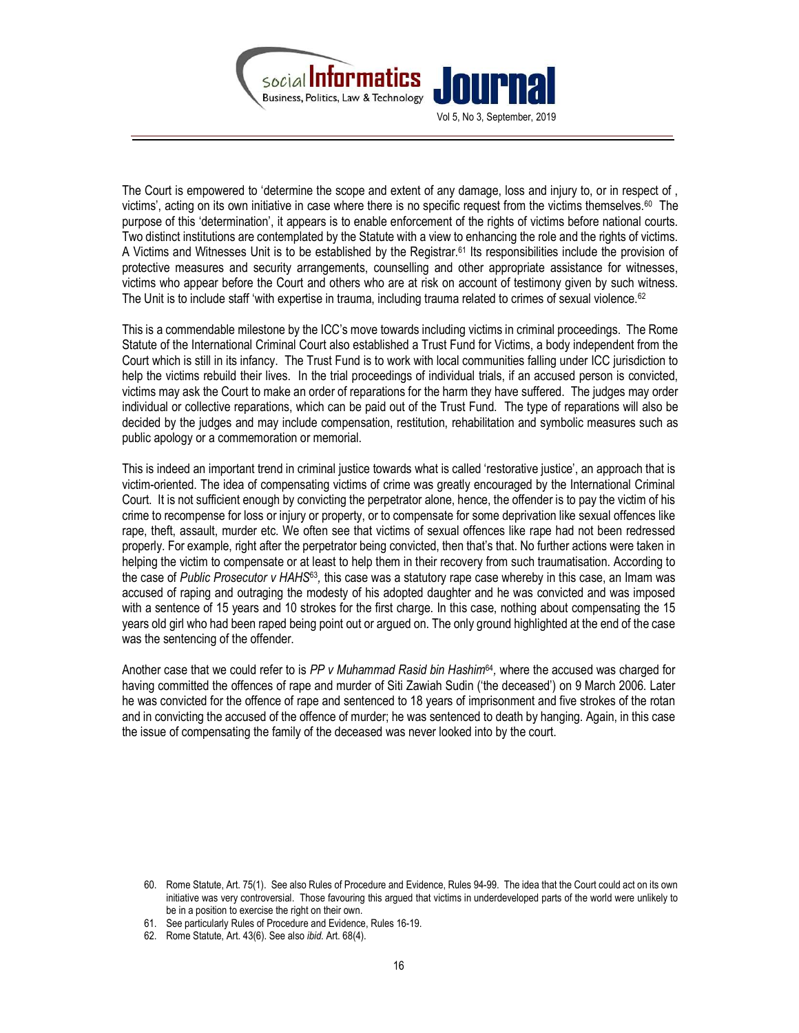

The Court is empowered to 'determine the scope and extent of any damage, loss and injury to, or in respect of , victims', acting on its own initiative in case where there is no specific request from the victims themselves.60 The purpose of this 'determination', it appears is to enable enforcement of the rights of victims before national courts. Two distinct institutions are contemplated by the Statute with a view to enhancing the role and the rights of victims. A Victims and Witnesses Unit is to be established by the Registrar.<sup>61</sup> Its responsibilities include the provision of protective measures and security arrangements, counselling and other appropriate assistance for witnesses, victims who appear before the Court and others who are at risk on account of testimony given by such witness. The Unit is to include staff 'with expertise in trauma, including trauma related to crimes of sexual violence.<sup>62</sup>

This is a commendable milestone by the ICC's move towards including victims in criminal proceedings. The Rome Statute of the International Criminal Court also established a Trust Fund for Victims, a body independent from the Court which is still in its infancy. The Trust Fund is to work with local communities falling under ICC jurisdiction to help the victims rebuild their lives. In the trial proceedings of individual trials, if an accused person is convicted, victims may ask the Court to make an order of reparations for the harm they have suffered. The judges may order individual or collective reparations, which can be paid out of the Trust Fund. The type of reparations will also be decided by the judges and may include compensation, restitution, rehabilitation and symbolic measures such as public apology or a commemoration or memorial.

This is indeed an important trend in criminal justice towards what is called 'restorative justice', an approach that is victim-oriented. The idea of compensating victims of crime was greatly encouraged by the International Criminal Court. It is not sufficient enough by convicting the perpetrator alone, hence, the offender is to pay the victim of his crime to recompense for loss or injury or property, or to compensate for some deprivation like sexual offences like rape, theft, assault, murder etc. We often see that victims of sexual offences like rape had not been redressed properly. For example, right after the perpetrator being convicted, then that's that. No further actions were taken in helping the victim to compensate or at least to help them in their recovery from such traumatisation. According to the case of Public Prosecutor v HAHS<sup>63</sup>, this case was a statutory rape case whereby in this case, an Imam was accused of raping and outraging the modesty of his adopted daughter and he was convicted and was imposed with a sentence of 15 years and 10 strokes for the first charge. In this case, nothing about compensating the 15 years old girl who had been raped being point out or argued on. The only ground highlighted at the end of the case was the sentencing of the offender.

Another case that we could refer to is PP v Muhammad Rasid bin Hashim<sup>64</sup>, where the accused was charged for having committed the offences of rape and murder of Siti Zawiah Sudin ('the deceased') on 9 March 2006. Later he was convicted for the offence of rape and sentenced to 18 years of imprisonment and five strokes of the rotan and in convicting the accused of the offence of murder; he was sentenced to death by hanging. Again, in this case the issue of compensating the family of the deceased was never looked into by the court.

- 61. See particularly Rules of Procedure and Evidence, Rules 16-19.
- 62. Rome Statute, Art. 43(6). See also ibid. Art. 68(4).

<sup>60.</sup> Rome Statute, Art. 75(1). See also Rules of Procedure and Evidence, Rules 94-99. The idea that the Court could act on its own initiative was very controversial. Those favouring this argued that victims in underdeveloped parts of the world were unlikely to be in a position to exercise the right on their own.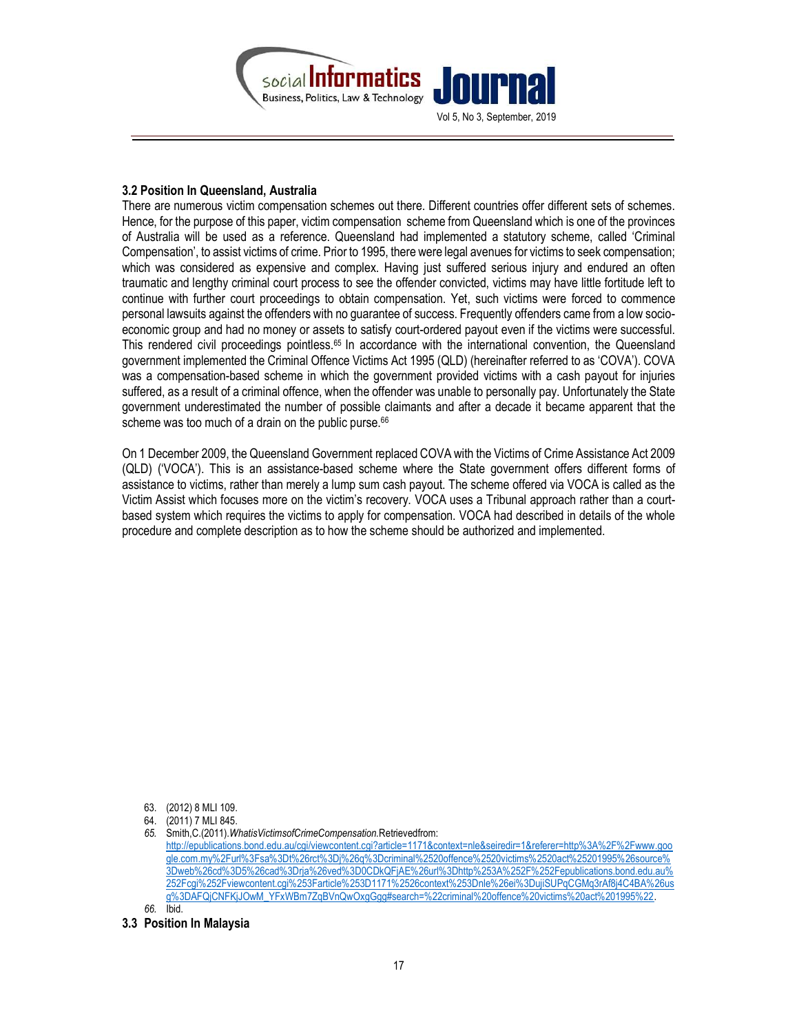

### 3.2 Position In Queensland, Australia

There are numerous victim compensation schemes out there. Different countries offer different sets of schemes. Hence, for the purpose of this paper, victim compensation scheme from Queensland which is one of the provinces of Australia will be used as a reference. Queensland had implemented a statutory scheme, called 'Criminal Compensation', to assist victims of crime. Prior to 1995, there were legal avenues for victims to seek compensation; which was considered as expensive and complex. Having just suffered serious injury and endured an often traumatic and lengthy criminal court process to see the offender convicted, victims may have little fortitude left to continue with further court proceedings to obtain compensation. Yet, such victims were forced to commence personal lawsuits against the offenders with no guarantee of success. Frequently offenders came from a low socioeconomic group and had no money or assets to satisfy court-ordered payout even if the victims were successful. This rendered civil proceedings pointless.<sup>65</sup> In accordance with the international convention, the Queensland government implemented the Criminal Offence Victims Act 1995 (QLD) (hereinafter referred to as 'COVA'). COVA was a compensation-based scheme in which the government provided victims with a cash payout for injuries suffered, as a result of a criminal offence, when the offender was unable to personally pay. Unfortunately the State government underestimated the number of possible claimants and after a decade it became apparent that the scheme was too much of a drain on the public purse.<sup>66</sup>

On 1 December 2009, the Queensland Government replaced COVA with the Victims of Crime Assistance Act 2009 (QLD) ('VOCA'). This is an assistance-based scheme where the State government offers different forms of assistance to victims, rather than merely a lump sum cash payout. The scheme offered via VOCA is called as the Victim Assist which focuses more on the victim's recovery. VOCA uses a Tribunal approach rather than a courtbased system which requires the victims to apply for compensation. VOCA had described in details of the whole procedure and complete description as to how the scheme should be authorized and implemented.

63. (2012) 8 MLI 109.

- Smith,C.(2011). WhatisVictimsofCrimeCompensation.Retrievedfrom: http://epublications.bond.edu.au/cgi/viewcontent.cgi?article=1171&context=nle&seiredir=1&referer=http%3A%2F%2Fwww.goo gle.com.my%2Furl%3Fsa%3Dt%26rct%3Dj%26q%3Dcriminal%2520offence%2520victims%2520act%25201995%26source% 3Dweb%26cd%3D5%26cad%3Drja%26ved%3D0CDkQFjAE%26url%3Dhttp%253A%252F%252Fepublications.bond.edu.au% 252Fcgi%252Fviewcontent.cgi%253Farticle%253D1171%2526context%253Dnle%26ei%3DujiSUPqCGMq3rAf8j4C4BA%26us g%3DAFQjCNFKjJOwM\_YFxWBm7ZqBVnQwOxgGgg#search=%22criminal%20offence%20victims%20act%201995%22. 66. Ibid.
- 3.3 Position In Malaysia

<sup>64.</sup> (2011) 7 MLI 845.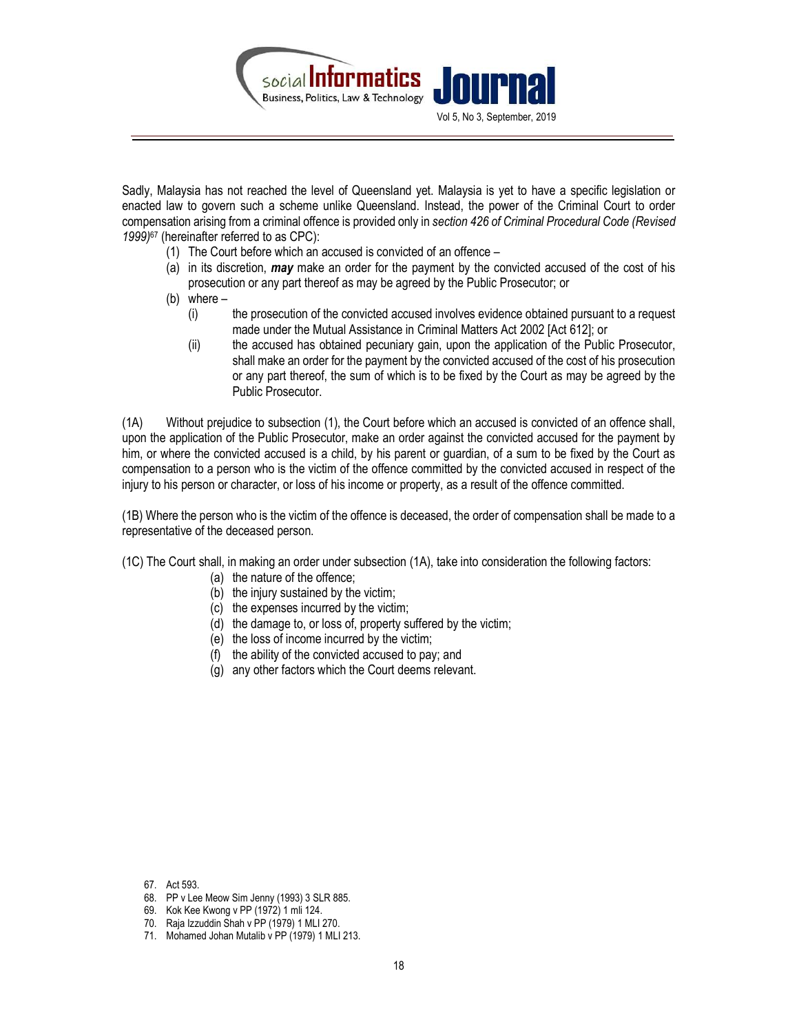

Sadly, Malaysia has not reached the level of Queensland yet. Malaysia is yet to have a specific legislation or enacted law to govern such a scheme unlike Queensland. Instead, the power of the Criminal Court to order compensation arising from a criminal offence is provided only in section 426 of Criminal Procedural Code (Revised 1999)67 (hereinafter referred to as CPC):

- (1) The Court before which an accused is convicted of an offence –
- (a) in its discretion, may make an order for the payment by the convicted accused of the cost of his prosecution or any part thereof as may be agreed by the Public Prosecutor; or
- (b) where
	- (i) the prosecution of the convicted accused involves evidence obtained pursuant to a request made under the Mutual Assistance in Criminal Matters Act 2002 [Act 612]; or
	- (ii) the accused has obtained pecuniary gain, upon the application of the Public Prosecutor, shall make an order for the payment by the convicted accused of the cost of his prosecution or any part thereof, the sum of which is to be fixed by the Court as may be agreed by the Public Prosecutor.

(1A) Without prejudice to subsection (1), the Court before which an accused is convicted of an offence shall, upon the application of the Public Prosecutor, make an order against the convicted accused for the payment by him, or where the convicted accused is a child, by his parent or guardian, of a sum to be fixed by the Court as compensation to a person who is the victim of the offence committed by the convicted accused in respect of the injury to his person or character, or loss of his income or property, as a result of the offence committed.

(1B) Where the person who is the victim of the offence is deceased, the order of compensation shall be made to a representative of the deceased person.

(1C) The Court shall, in making an order under subsection (1A), take into consideration the following factors:

- (a) the nature of the offence;
- (b) the injury sustained by the victim;
- (c) the expenses incurred by the victim;
- (d) the damage to, or loss of, property suffered by the victim;
- (e) the loss of income incurred by the victim;
- (f) the ability of the convicted accused to pay; and
- (g) any other factors which the Court deems relevant.

67. Act 593.

- 68. PP v Lee Meow Sim Jenny (1993) 3 SLR 885.
- 69. Kok Kee Kwong v PP (1972) 1 mli 124.
- 70. Raja Izzuddin Shah v PP (1979) 1 MLI 270.
- 71. Mohamed Johan Mutalib v PP (1979) 1 MLI 213.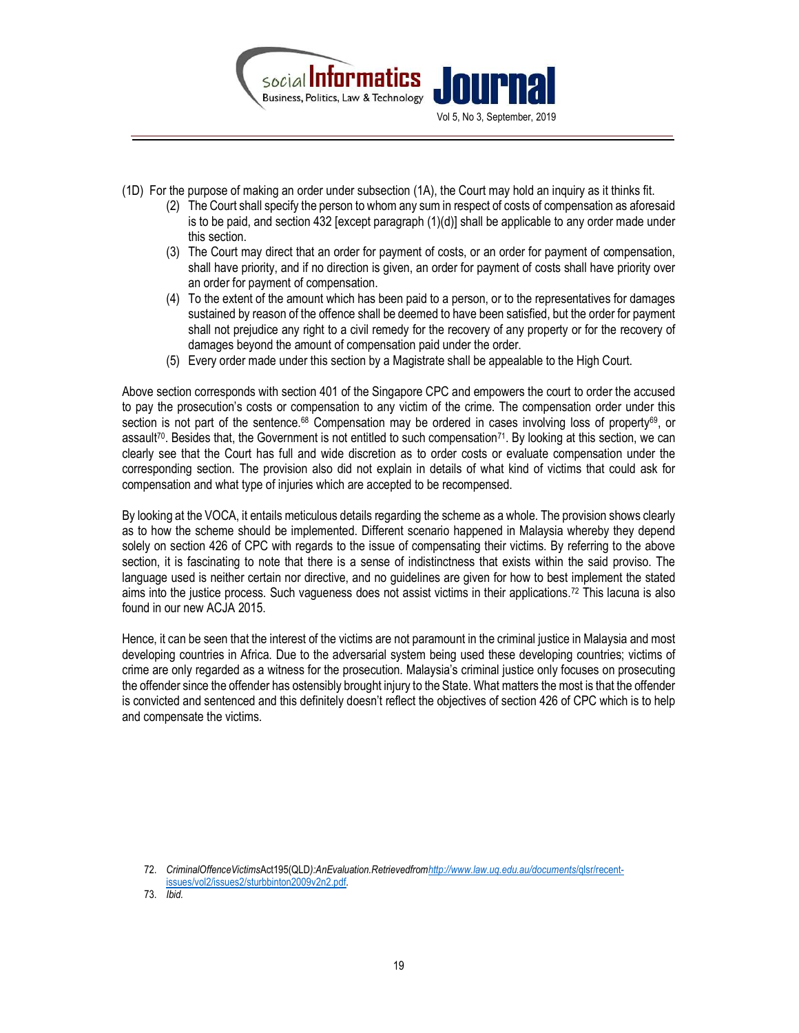

- (1D) For the purpose of making an order under subsection (1A), the Court may hold an inquiry as it thinks fit.
	- (2) The Court shall specify the person to whom any sum in respect of costs of compensation as aforesaid is to be paid, and section 432 [except paragraph (1)(d)] shall be applicable to any order made under this section.
	- (3) The Court may direct that an order for payment of costs, or an order for payment of compensation, shall have priority, and if no direction is given, an order for payment of costs shall have priority over an order for payment of compensation.
	- (4) To the extent of the amount which has been paid to a person, or to the representatives for damages sustained by reason of the offence shall be deemed to have been satisfied, but the order for payment shall not prejudice any right to a civil remedy for the recovery of any property or for the recovery of damages beyond the amount of compensation paid under the order.
	- (5) Every order made under this section by a Magistrate shall be appealable to the High Court.

Above section corresponds with section 401 of the Singapore CPC and empowers the court to order the accused to pay the prosecution's costs or compensation to any victim of the crime. The compensation order under this section is not part of the sentence.<sup>68</sup> Compensation may be ordered in cases involving loss of property<sup>69</sup>, or assault<sup>70</sup>. Besides that, the Government is not entitled to such compensation<sup>71</sup>. By looking at this section, we can clearly see that the Court has full and wide discretion as to order costs or evaluate compensation under the corresponding section. The provision also did not explain in details of what kind of victims that could ask for compensation and what type of injuries which are accepted to be recompensed.

By looking at the VOCA, it entails meticulous details regarding the scheme as a whole. The provision shows clearly as to how the scheme should be implemented. Different scenario happened in Malaysia whereby they depend solely on section 426 of CPC with regards to the issue of compensating their victims. By referring to the above section, it is fascinating to note that there is a sense of indistinctness that exists within the said proviso. The language used is neither certain nor directive, and no guidelines are given for how to best implement the stated aims into the justice process. Such vagueness does not assist victims in their applications.<sup>72</sup> This lacuna is also found in our new ACJA 2015.

Hence, it can be seen that the interest of the victims are not paramount in the criminal justice in Malaysia and most developing countries in Africa. Due to the adversarial system being used these developing countries; victims of crime are only regarded as a witness for the prosecution. Malaysia's criminal justice only focuses on prosecuting the offender since the offender has ostensibly brought injury to the State. What matters the most is that the offender is convicted and sentenced and this definitely doesn't reflect the objectives of section 426 of CPC which is to help and compensate the victims.

72. CriminalOffenceVictimsAct195(QLD):AnEvaluation.Retrievedfromhttp://www.law.uq.edu.au/documents/qlsr/recentissues/vol2/issues2/sturbbinton2009v2n2.pdf.

73. Ibid.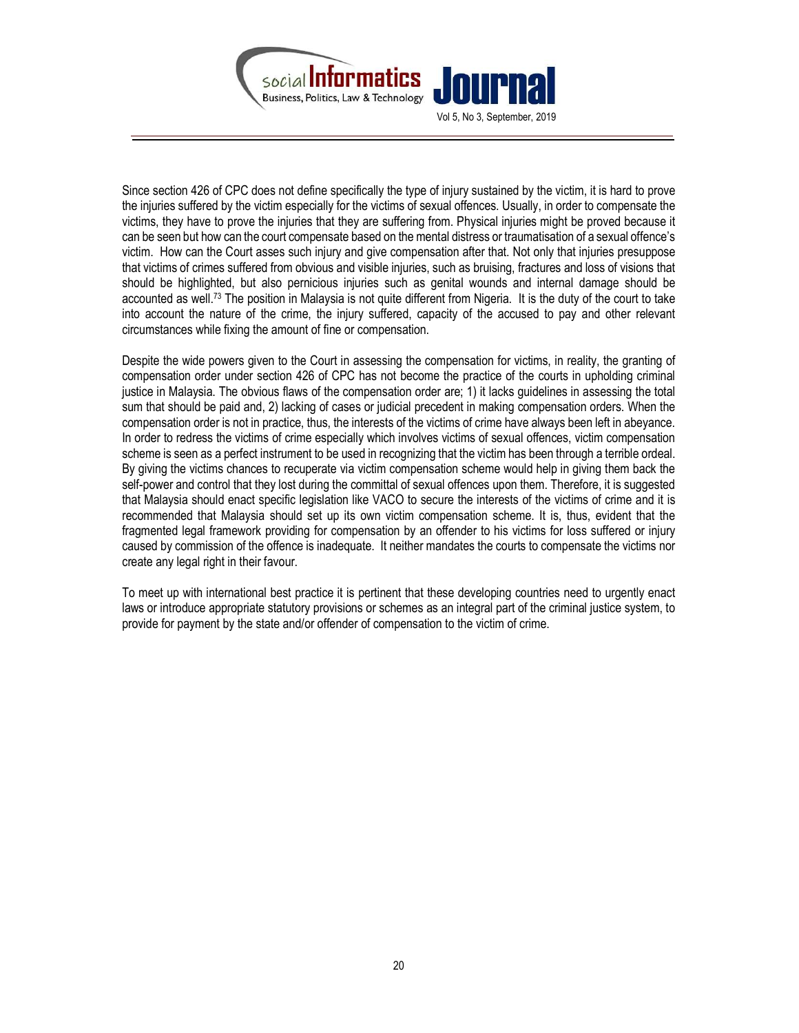

Since section 426 of CPC does not define specifically the type of injury sustained by the victim, it is hard to prove the injuries suffered by the victim especially for the victims of sexual offences. Usually, in order to compensate the victims, they have to prove the injuries that they are suffering from. Physical injuries might be proved because it can be seen but how can the court compensate based on the mental distress or traumatisation of a sexual offence's victim. How can the Court asses such injury and give compensation after that. Not only that injuries presuppose that victims of crimes suffered from obvious and visible injuries, such as bruising, fractures and loss of visions that should be highlighted, but also pernicious injuries such as genital wounds and internal damage should be accounted as well.73 The position in Malaysia is not quite different from Nigeria. It is the duty of the court to take into account the nature of the crime, the injury suffered, capacity of the accused to pay and other relevant circumstances while fixing the amount of fine or compensation.

Despite the wide powers given to the Court in assessing the compensation for victims, in reality, the granting of compensation order under section 426 of CPC has not become the practice of the courts in upholding criminal justice in Malaysia. The obvious flaws of the compensation order are; 1) it lacks guidelines in assessing the total sum that should be paid and, 2) lacking of cases or judicial precedent in making compensation orders. When the compensation order is not in practice, thus, the interests of the victims of crime have always been left in abeyance. In order to redress the victims of crime especially which involves victims of sexual offences, victim compensation scheme is seen as a perfect instrument to be used in recognizing that the victim has been through a terrible ordeal. By giving the victims chances to recuperate via victim compensation scheme would help in giving them back the self-power and control that they lost during the committal of sexual offences upon them. Therefore, it is suggested that Malaysia should enact specific legislation like VACO to secure the interests of the victims of crime and it is recommended that Malaysia should set up its own victim compensation scheme. It is, thus, evident that the fragmented legal framework providing for compensation by an offender to his victims for loss suffered or injury caused by commission of the offence is inadequate. It neither mandates the courts to compensate the victims nor create any legal right in their favour.

To meet up with international best practice it is pertinent that these developing countries need to urgently enact laws or introduce appropriate statutory provisions or schemes as an integral part of the criminal justice system, to provide for payment by the state and/or offender of compensation to the victim of crime.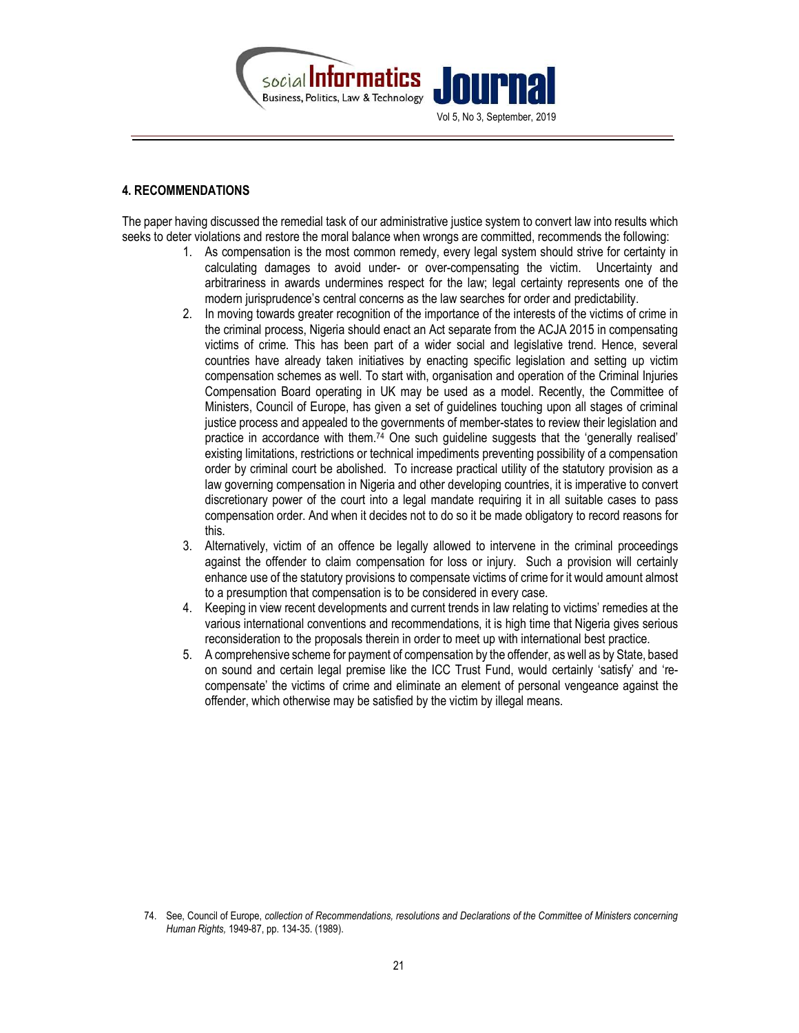

## 4. RECOMMENDATIONS

The paper having discussed the remedial task of our administrative justice system to convert law into results which seeks to deter violations and restore the moral balance when wrongs are committed, recommends the following:

- 1. As compensation is the most common remedy, every legal system should strive for certainty in calculating damages to avoid under- or over-compensating the victim. Uncertainty and arbitrariness in awards undermines respect for the law; legal certainty represents one of the modern jurisprudence's central concerns as the law searches for order and predictability.
- 2. In moving towards greater recognition of the importance of the interests of the victims of crime in the criminal process, Nigeria should enact an Act separate from the ACJA 2015 in compensating victims of crime. This has been part of a wider social and legislative trend. Hence, several countries have already taken initiatives by enacting specific legislation and setting up victim compensation schemes as well. To start with, organisation and operation of the Criminal Injuries Compensation Board operating in UK may be used as a model. Recently, the Committee of Ministers, Council of Europe, has given a set of guidelines touching upon all stages of criminal justice process and appealed to the governments of member-states to review their legislation and practice in accordance with them.<sup>74</sup> One such guideline suggests that the 'generally realised' existing limitations, restrictions or technical impediments preventing possibility of a compensation order by criminal court be abolished. To increase practical utility of the statutory provision as a law governing compensation in Nigeria and other developing countries, it is imperative to convert discretionary power of the court into a legal mandate requiring it in all suitable cases to pass compensation order. And when it decides not to do so it be made obligatory to record reasons for this.
- 3. Alternatively, victim of an offence be legally allowed to intervene in the criminal proceedings against the offender to claim compensation for loss or injury. Such a provision will certainly enhance use of the statutory provisions to compensate victims of crime for it would amount almost to a presumption that compensation is to be considered in every case.
- 4. Keeping in view recent developments and current trends in law relating to victims' remedies at the various international conventions and recommendations, it is high time that Nigeria gives serious reconsideration to the proposals therein in order to meet up with international best practice.
- 5. A comprehensive scheme for payment of compensation by the offender, as well as by State, based on sound and certain legal premise like the ICC Trust Fund, would certainly 'satisfy' and 'recompensate' the victims of crime and eliminate an element of personal vengeance against the offender, which otherwise may be satisfied by the victim by illegal means.

<sup>74.</sup> See, Council of Europe, collection of Recommendations, resolutions and Declarations of the Committee of Ministers concerning Human Rights, 1949-87, pp. 134-35. (1989).